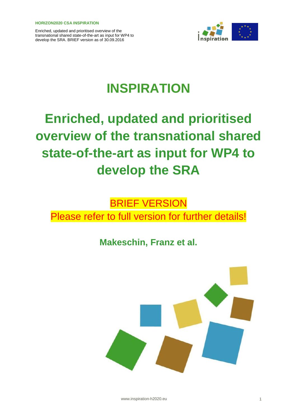

# **INSPIRATION**

# **Enriched, updated and prioritised overview of the transnational shared state-of-the-art as input for WP4 to develop the SRA**

# BRIEF VERSION Please refer to full version for further details!

## **Makeschin, Franz et al.**



www.inspiration-h2020.eu 1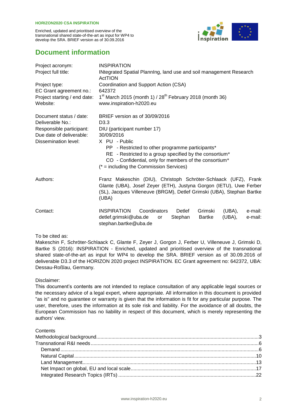

### **Document information**

| Project acronym:             | <b>INSPIRATION</b>                                                                                                                          |
|------------------------------|---------------------------------------------------------------------------------------------------------------------------------------------|
| Project full title:          | INtegrated Spatial Planning, land use and soil management Research<br>ActTION                                                               |
| Project type:                | Coordination and Support Action (CSA)                                                                                                       |
| EC Grant agreement no.:      | 642372                                                                                                                                      |
| Project starting / end date: | $1st$ March 2015 (month 1) / 28 <sup>th</sup> February 2018 (month 36)                                                                      |
| Website:                     | www.inspiration-h2020.eu                                                                                                                    |
| Document status / date:      | BRIEF version as of 30/09/2016                                                                                                              |
| Deliverable No.:             | D <sub>3.3</sub>                                                                                                                            |
| Responsible participant:     | DIU (participant number 17)                                                                                                                 |
| Due date of deliverable:     | 30/09/2016                                                                                                                                  |
| Dissemination level:         | X PU - Public                                                                                                                               |
|                              | PP - Restricted to other programme participants*<br>RE - Restricted to a group specified by the consortium*                                 |
|                              | CO - Confidential, only for members of the consortium*                                                                                      |
|                              | $(* = including the Commission Services)$                                                                                                   |
|                              |                                                                                                                                             |
| Authors:                     | Franz Makeschin (DIU), Christoph Schröter-Schlaack (UFZ), Frank                                                                             |
|                              | Glante (UBA), Josef Zeyer (ETH), Justyna Gorgon (IETU), Uwe Ferber<br>(SL), Jacques Villeneuve (BRGM), Detlef Grimski (UBA), Stephan Bartke |
|                              | (UBA)                                                                                                                                       |
| Contact:                     | <b>INSPIRATION</b><br>Coordinators<br>e-mail:<br>Detlef<br>Grimski<br>(UBA),                                                                |
|                              | detlef.grimski@uba.de<br><b>Bartke</b><br>(UBA),<br>e-mail:<br>Stephan<br>or                                                                |
|                              | stephan.bartke@uba.de                                                                                                                       |
|                              |                                                                                                                                             |

#### To be cited as:

Makeschin F, Schröter-Schlaack C, Glante F, Zeyer J, Gorgon J, Ferber U, Villeneuve J, Grimski D, Bartke S (2016): INSPIRATION - Enriched, updated and prioritised overview of the transnational shared state-of-the-art as input for WP4 to develop the SRA. BRIEF version as of 30.09.2016 of deliverable D3.3 of the HORIZON 2020 project INSPIRATION. EC Grant agreement no: 642372, UBA: Dessau-Roßlau, Germany.

Disclaimer:

This document's contents are not intended to replace consultation of any applicable legal sources or the necessary advice of a legal expert, where appropriate. All information in this document is provided "as is" and no guarantee or warranty is given that the information is fit for any particular purpose. The user, therefore, uses the information at its sole risk and liability. For the avoidance of all doubts, the European Commission has no liability in respect of this document, which is merely representing the authors' view.

**Contents**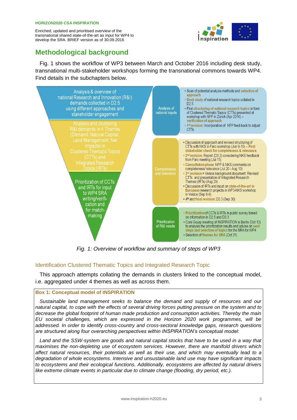

## <span id="page-2-0"></span>**Methodological background**

Fig. 1 shows the workflow of WP3 between March and October 2016 including desk study, transnational multi-stakeholder workshops forming the transnational commons towards WP4. Find details in the subchapters below.



*Fig. 1: Overview of workflow and summary of steps of WP3*

#### Identification Clustered Thematic Topics and Integrated Research Topic

This approach attempts collating the demands in clusters linked to the conceptual model, i.e. aggregated under 4 themes as well as across them.

#### **Box 1: Conceptual model of INSPIRATION**

*Sustainable land management seeks to balance the demand and supply of resources and our natural capital, to cope with the effects of several driving forces putting pressure on the system and to decrease the global footprint of human made production and consumption activities. Thereby the main EU societal challenges, which are expressed in the Horizon 2020 work programmes, will be addressed. In order to identify cross-country and cross-sectoral knowledge gaps, research questions are structured along four overarching perspectives within INSPIRATION's conceptual model:*

*Land and the SSW-system are goods and natural capital stocks that have to be used in a way that maximises the non-depleting use of ecosystem services. However, there are manifold drivers which affect natural resources, their potentials as well as their use, and which may eventually lead to a degradation of whole ecosystems. Intensive and unsustainable land use may have significant impacts to ecosystems and their ecological functions. Additionally, ecosystems are affected by natural drivers like extreme climate events in particular due to climate change (flooding, dry period, etc.).*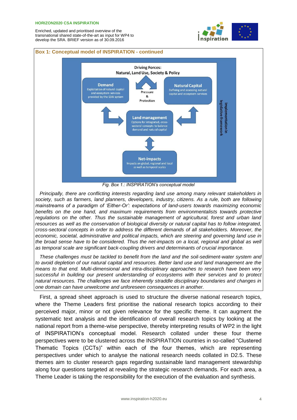#### **HORIZON2020 CSA INSPIRATION**

Enriched, updated and prioritised overview of the transnational shared state-of-the-art as input for WP4 to develop the SRA. BRIEF version as of 30.09.2016



#### **Box 1: Conceptual model of INSPIRATION - continued**



*Principally, there are conflicting interests regarding land use among many relevant stakeholders in society, such as farmers, land planners, developers, industry, citizens. As a rule, both are following mainstreams of a paradigm of 'Either-Or': expectations of land-users towards maximizing economic benefits on the one hand, and maximum requirements from environmentalists towards protective regulations on the other. Thus the sustainable management of agricultural, forest and urban land resources as well as the conservation of biological diversity or natural capital has to follow integrated, cross-sectoral concepts in order to address the different demands of all stakeholders. Moreover, the*  economic, societal, administrative and political impacts, which are steering and governing land use in the broad sense have to be considered. Thus the net-impacts on a local, regional and global as well *as temporal scale are significant back-coupling drivers and determinants of crucial importance.*

*These challenges must be tackled to benefit from the land and the soil-sediment-water system and to avoid depletion of our natural capital and resources. Better land use and land management are the means to that end. Multi-dimensional and intra-disciplinary approaches to research have been very successful in building our present understanding of ecosystems with their services and to protect natural resources. The challenges we face inherently straddle disciplinary boundaries and changes in one domain can have unwelcome and unforeseen consequences in another.* 

First, a spread sheet approach is used to structure the diverse national research topics, where the Theme Leaders first prioritise the national research topics according to their perceived major, minor or not given relevance for the specific theme. It can augment the systematic text analysis and the identification of overall research topics by looking at the national report from a theme-wise perspective, thereby interpreting results of WP2 in the light of INSPIRATION's conceptual model. Research collated under these four theme perspectives were to be clustered across the INSPIRATION countries in so-called "Clustered Thematic Topics (CCTs)" within each of the four themes, which are representing perspectives under which to analyse the national research needs collated in D2.5. These themes aim to cluster research gaps regarding sustainable land management stewardship along four questions targeted at revealing the strategic research demands. For each area, a Theme Leader is taking the responsibility for the execution of the evaluation and synthesis.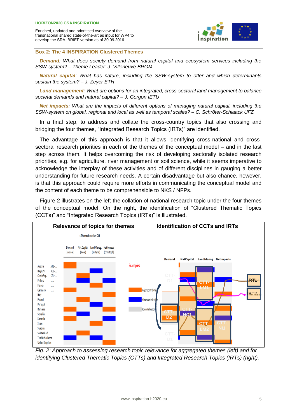

#### **Box 2: The 4 INSPIRATION Clustered Themes**

*Demand: What does society demand from natural capital and ecosystem services including the SSW-system? – Theme Leader: J. Villeneuve BRGM*

*Natural capital: What has nature, including the SSW-system to offer and which determinants sustain the system? – J. Zeyer ETH*

*Land management: What are options for an integrated, cross-sectoral land management to balance societal demands and natural capital? – J. Gorgon IETU*

*Net impacts: What are the impacts of different options of managing natural capital, including the SSW-system on global, regional and local as well as temporal scales? – C. Schröter-Schlaack UFZ*

In a final step, to address and collate the cross-country topics that also crossing and bridging the four themes, "Integrated Research Topics (IRTs)" are identified.

The advantage of this approach is that it allows identifying cross-national and crosssectoral research priorities in each of the themes of the conceptual model – and in the last step across them. It helps overcoming the risk of developing sectorally isolated research priorities, e.g. for agriculture, river management or soil science, while it seems imperative to acknowledge the interplay of these activities and of different disciplines in gauging a better understanding for future research needs. A certain disadvantage but also chance, however, is that this approach could require more efforts in communicating the conceptual model and the content of each theme to be comprehensible to NKS / NFPs.

Figure 2 illustrates on the left the collation of national research topic under the four themes of the conceptual model. On the right, the identification of "Clustered Thematic Topics (CCTs)" and "Integrated Research Topics (IRTs)" is illustrated.



*Fig. 2: Approach to assessing research topic relevance for aggregated themes (left) and for identifying Clustered Thematic Topics (CTTs) and Integrated Research Topics (IRTs) (right).*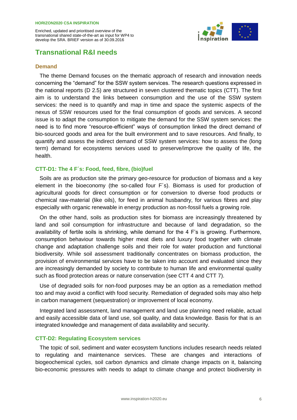

### <span id="page-5-0"></span>**Transnational R&I needs**

#### <span id="page-5-1"></span>**Demand**

The theme Demand focuses on the thematic approach of research and innovation needs concerning the "demand" for the SSW system services. The research questions expressed in the national reports (D 2.5) are structured in seven clustered thematic topics (CTT). The first aim is to understand the links between consumption and the use of the SSW system services: the need is to quantify and map in time and space the systemic aspects of the nexus of SSW resources used for the final consumption of goods and services. A second issue is to adapt the consumption to mitigate the demand for the SSW system services: the need is to find more "resource-efficient" ways of consumption linked the direct demand of bio-sourced goods and area for the built environment and to save resources. And finally, to quantify and assess the indirect demand of SSW system services: how to assess the (long term) demand for ecosystems services used to preserve/improve the quality of life, the health.

#### **CTT-D1: The 4 F´s: Food, feed, fibre, (bio)fuel**

Soils are as production site the primary geo-resource for production of biomass and a key element in the bioeconomy (the so-called four F´s). Biomass is used for production of agricultural goods for direct consumption or for conversion to diverse food products or chemical raw-material (like oils), for feed in animal husbandry, for various fibres and play especially with organic renewable in energy production as non-fossil fuels a growing role.

On the other hand, soils as production sites for biomass are increasingly threatened by land and soil consumption for infrastructure and because of land degradation, so the availability of fertile soils is shrinking, while demand for the 4 F's is growing. Furthermore, consumption behaviour towards higher meat diets and luxury food together with climate change and adaptation challenge soils and their role for water production and functional biodiversity. While soil assessment traditionally concentrates on biomass production, the provision of environmental services have to be taken into account and evaluated since they are increasingly demanded by society to contribute to human life and environmental quality such as flood protection areas or nature conservation (see CTT 4 and CTT 7).

Use of degraded soils for non-food purposes may be an option as a remediation method too and may avoid a conflict with food security. Remediation of degraded soils may also help in carbon management (sequestration) or improvement of local economy.

Integrated land assessment, land management and land use planning need reliable, actual and easily accessible data of land use, soil quality, and data knowledge. Basis for that is an integrated knowledge and management of data availability and security.

#### **CTT-D2: Regulating Ecosystem services**

The topic of soil, sediment and water ecosystem functions includes research needs related to regulating and maintenance services. These are changes and interactions of biogeochemical cycles, soil carbon dynamics and climate change impacts on it, balancing bio-economic pressures with needs to adapt to climate change and protect biodiversity in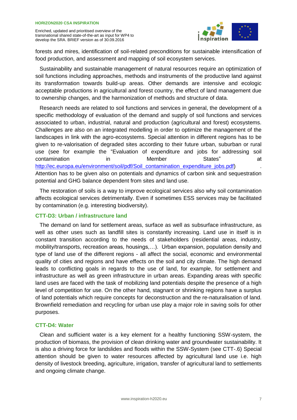

forests and mires, identification of soil-related preconditions for sustainable intensification of food production, and assessment and mapping of soil ecosystem services.

Sustainability and sustainable management of natural resources require an optimization of soil functions including approaches, methods and instruments of the productive land against its transformation towards build-up areas. Other demands are intensive and ecologic acceptable productions in agricultural and forest country, the effect of land management due to ownership changes, and the harmonization of methods and structure of data.

Research needs are related to soil functions and services in general, the development of a specific methodology of evaluation of the demand and supply of soil functions and services associated to urban, industrial, natural and production (agricultural and forest) ecosystems. Challenges are also on an integrated modelling in order to optimize the management of the landscapes in link with the agro-ecosystems. Special attention in different regions has to be given to re-valorisation of degraded sites according to their future urban, suburban or rural use (see for example the "Evaluation of expenditure and jobs for addressing soil contamination in Member States" at [http://ec.europa.eu/environment/soil/pdf/Soil\\_contamination\\_expenditure\\_jobs.pdf\)](http://ec.europa.eu/environment/soil/pdf/Soil_contamination_expenditure_jobs.pdf) Attention has to be given also on potentials and dynamics of carbon sink and sequestration potential and GHG balance dependent from sites and land use.

The restoration of soils is a way to improve ecological services also why soil contamination affects ecological services detrimentally. Even if sometimes ESS services may be facilitated by contamination (e.g. interesting biodiversity).

#### **CTT-D3: Urban / infrastructure land**

The demand on land for settlement areas, surface as well as subsurface infrastructure, as well as other uses such as landfill sites is constantly increasing. Land use in itself is in constant transition according to the needs of stakeholders (residential areas, industry, mobility/transports, recreation areas, housings,…). Urban expansion, population density and type of land use of the different regions - all affect the social, economic and environmental quality of cities and regions and have effects on the soil and city climate. The high demand leads to conflicting goals in regards to the use of land, for example, for settlement and infrastructure as well as green infrastructure in urban areas. Expanding areas with specific land uses are faced with the task of mobilizing land potentials despite the presence of a high level of competition for use. On the other hand, stagnant or shrinking regions have a surplus of land potentials which require concepts for deconstruction and the re-naturalisation of land. Brownfield remediation and recycling for urban use play a major role in saving soils for other purposes.

#### **CTT-D4: Water**

Clean and sufficient water is a key element for a healthy functioning SSW-system, the production of biomass, the provision of clean drinking water and groundwater sustainability. It is also a driving force for landslides and floods within the SSW-System (see CTT-.6) Special attention should be given to water resources affected by agricultural land use i.e. high density of livestock breeding, agriculture, irrigation, transfer of agricultural land to settlements and ongoing climate change.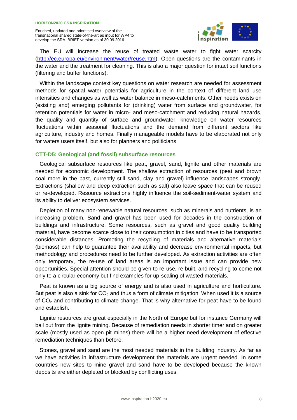

The EU will increase the reuse of treated waste water to fight water scarcity [\(http://ec.europa.eu/environment/water/reuse.htm\)](http://ec.europa.eu/environment/water/reuse.htm). Open questions are the contaminants in the water and the treatment for cleaning. This is also a major question for intact soil functions (filtering and buffer functions).

Within the landscape context key questions on water research are needed for assessment methods for spatial water potentials for agriculture in the context of different land use intensities and changes as well as water balance in meso-catchments. Other needs exists on (existing and) emerging pollutants for (drinking) water from surface and groundwater, for retention potentials for water in micro- and meso-catchment and reducing natural hazards, the quality and quantity of surface and groundwater, knowledge on water resources fluctuations within seasonal fluctuations and the demand from different sectors like agriculture, industry and homes. Finally manageable models have to be elaborated not only for waters users itself, but also for planners and politicians.

#### **CTT-D5: Geological (and fossil) subsurface resources**

Geological subsurface resources like peat, gravel, sand, lignite and other materials are needed for economic development. The shallow extraction of resources (peat and brown coal more in the past, currently still sand, clay and gravel) influence landscapes strongly. Extractions (shallow and deep extraction such as salt) also leave space that can be reused or re-developed. Resource extractions highly influence the soil-sediment-water system and its ability to deliver ecosystem services.

Depletion of many non-renewable natural resources, such as minerals and nutrients, is an increasing problem. Sand and gravel has been used for decades in the construction of buildings and infrastructure. Some resources, such as gravel and good quality building material, have become scarce close to their consumption in cities and have to be transported considerable distances. Promoting the recycling of materials and alternative materials (biomass) can help to guarantee their availability and decrease environmental impacts, but methodology and procedures need to be further developed. As extraction activities are often only temporary, the re-use of land areas is an important issue and can provide new opportunities. Special attention should be given to re-use, re-built, and recycling to come not only to a circular economy but find examples for up-scaling of wasted materials.

Peat is known as a big source of energy and is also used in agriculture and horticulture. But peat is also a sink for  $CO<sub>2</sub>$  and thus a form of climate mitigation. When used it is a source of  $CO<sub>2</sub>$  and contributing to climate change. That is why alternative for peat have to be found and establish.

Lignite resources are great especially in the North of Europe but for instance Germany will bail out from the lignite mining. Because of remediation needs in shorter timer and on greater scale (mostly used as open pit mines) there will be a higher need development of effective remediation techniques than before.

Stones, gravel and sand are the most needed materials in the building industry. As far as we have activities in infrastructure development the materials are urgent needed. In some countries new sites to mine gravel and sand have to be developed because the known deposits are either depleted or blocked by conflicting uses.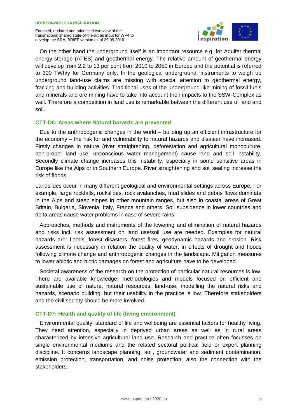

On the other hand the underground itself is an important resource e.g. for Aquifer thermal energy storage (ATES) and geothermal energy. The relative amount of geothermal energy will develop from 2.2 to 13 per cent from 2010 to 2050 in Europe and the potential is referred to 300 TWh/y for Germany only. In the geological underground, instruments to weigh up underground land-use claims are missing with special attention to geothermal energy, fracking and building activities. Traditional uses of the underground like mining of fossil fuels and minerals and ore mining have to take into account their impacts to the SSW-Complex as well. Therefore a competition in land use is remarkable between the different use of land and soil.

#### **CTT-D6: Areas where Natural hazards are prevented**

Due to the anthropogenic changes in the world – building up an efficient infrastructure for the economy – the risk for and vulnerability to natural hazards and disaster have increased. Firstly changes in nature (river straightening, deforestation and agricultural monoculture, non-proper land use, unconscious water management) cause land and soil instability. Secondly climate change increases this instability, especially in some sensitive areas in Europe like the Alps or in Southern Europe. River straightening and soil sealing increase the risk of floods.

Landslides occur in many different geological and environmental settings across Europe. For example, large rockfalls, rockslides, rock avalanches, mud slides and debris flows dominate in the Alps and steep slopes in other mountain ranges, but also in coastal areas of Great Britain, Bulgaria, Slovenia, Italy, France and others. Soil subsidence in lower countries and delta areas cause water problems in case of severe rains.

Approaches, methods and instruments of the lowering and elimination of natural hazards and risks incl. risk assessment on land use/soil use are needed. Examples for natural hazards are: floods, forest disasters, forest fires, geodynamic hazards and erosion. Risk assessment is necessary in relation the quality of water, in effects of drought and floods following climate change and anthropogenic changes in the landscape. Mitigation measures to lower abiotic and biotic damages on forest and agriculture have to be developed.

Societal awareness of the research on the protection of particular natural resources is low. There are available knowledge, methodologies and models focused on efficient and sustainable use of nature, natural resources, land-use, modelling the natural risks and hazards, scenario building, but their usability in the practice is low. Therefore stakeholders and the civil society should be more involved.

#### **CTT-D7: Health and quality of life (living environment)**

Environmental quality, standard of life and wellbeing are essential factors for healthy living. They need attention, especially in deprived urban areas as well as in rural areas characterized by intensive agricultural land use. Research and practice often focusses on single environmental mediums and the related sectoral political field or expert planning discipline. It concerns landscape planning, soil, groundwater and sediment contamination, emission protection, transportation, and noise protection; also the connection with the stakeholders.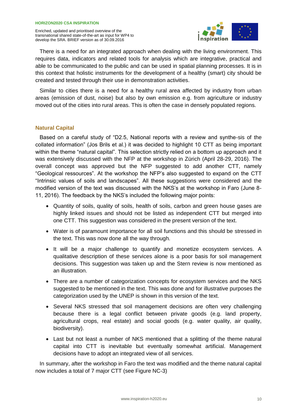

There is a need for an integrated approach when dealing with the living environment. This requires data, indicators and related tools for analysis which are integrative, practical and able to be communicated to the public and can be used in spatial planning processes. It is in this context that holistic instruments for the development of a healthy (smart) city should be created and tested through their use in demonstration activities.

Similar to cities there is a need for a healthy rural area affected by industry from urban areas (emission of dust, noise) but also by own emission e.g. from agriculture or industry moved out of the cities into rural areas. This is often the case in densely populated regions.

#### <span id="page-9-0"></span>**Natural Capital**

Based on a careful study of "D2.5, National reports with a review and synthe-sis of the collated information" (Jos Brils et al.) it was decided to highlight 10 CTT as being important within the theme "natural capital". This selection strictly relied on a bottom up approach and it was extensively discussed with the NFP at the workshop in Zürich (April 28-29, 2016). The overall concept was approved but the NFP suggested to add another CTT, namely "Geological ressources". At the workshop the NFP's also suggested to expand on the CTT "Intrinsic values of soils and landscapes". All these suggestions were considered and the modified version of the text was discussed with the NKS's at the workshop in Faro (June 8- 11, 2016). The feedback by the NKS's included the following major points:

- Quantity of soils, quality of soils, health of soils, carbon and green house gases are highly linked issues and should not be listed as independent CTT but merged into one CTT. This suggestion was considered in the present version of the text.
- Water is of paramount importance for all soil functions and this should be stressed in the text. This was now done all the way through.
- It will be a major challenge to quantify and monetize ecosystem services. A qualitative description of these services alone is a poor basis for soil management decisions. This suggestion was taken up and the Stern review is now mentioned as an illustration.
- There are a number of categorization concepts for ecosystem services and the NKS suggested to be mentioned in the text. This was done and for illustrative purposes the categorization used by the UNEP is shown in this version of the text.
- Several NKS stressed that soil management decisions are often very challenging because there is a legal conflict between private goods (e.g. land property, agricultural crops, real estate) and social goods (e.g. water quality, air quality, biodiversity).
- Last but not least a number of NKS mentioned that a splitting of the theme natural capital into CTT is inevitable but eventually somewhat artificial. Management decisions have to adopt an integrated view of all services.

In summary, after the workshop in Faro the text was modified and the theme natural capital now includes a total of 7 major CTT (see Figure NC-3)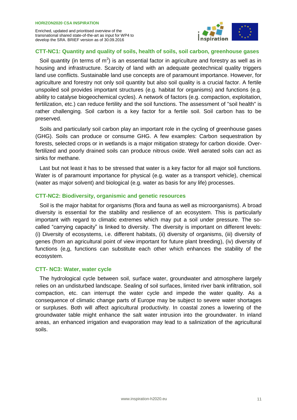

#### **CTT-NC1: Quantity and quality of soils, health of soils, soil carbon, greenhouse gases**

Soil quantity (in terms of  $m^2$ ) is an essential factor in agriculture and forestry as well as in housing and infrastructure. Scarcity of land with an adequate geotechnical quality triggers land use conflicts. Sustainable land use concepts are of paramount importance. However, for agriculture and forestry not only soil quantity but also soil quality is a crucial factor. A fertile unspoiled soil provides important structures (e.g. habitat for organisms) and functions (e.g. ability to catalyse biogeochemical cycles). A network of factors (e.g. compaction, exploitation, fertilization, etc.) can reduce fertility and the soil functions. The assessment of "soil health" is rather challenging. Soil carbon is a key factor for a fertile soil. Soil carbon has to be preserved.

Soils and particularly soil carbon play an important role in the cycling of greenhouse gases (GHG). Soils can produce or consume GHG. A few examples: Carbon sequestration by forests, selected crops or in wetlands is a major mitigation strategy for carbon dioxide. Overfertilized and poorly drained soils can produce nitrous oxide. Well aerated soils can act as sinks for methane.

Last but not least it has to be stressed that water is a key factor for all major soil functions. Water is of paramount importance for physical (e.g. water as a transport vehicle), chemical (water as major solvent) and biological (e.g. water as basis for any life) processes.

#### **CTT-NC2: Biodiversity, organismic and genetic resources**

Soil is the major habitat for organisms (flora and fauna as well as microorganisms). A broad diversity is essential for the stability and resilience of an ecosystem. This is particularly important with regard to climatic extremes which may put a soil under pressure. The socalled "carrying capacity" is linked to diversity. The diversity is important on different levels: (i) Diversity of ecosystems, i.e. different habitats, (ii) diversity of organisms, (iii) diversity of genes (from an agricultural point of view important for future plant breeding), (iv) diversity of functions (e,g, functions can substitute each other which enhances the stability of the ecosystem.

#### **CTT- NC3: Water, water cycle**

The hydrological cycle between soil, surface water, groundwater and atmosphere largely relies on an undisturbed landscape. Sealing of soil surfaces, limited river bank infiltration, soil compaction, etc. can interrupt the water cycle and impede the water quality. As a consequence of climatic change parts of Europe may be subject to severe water shortages or surpluses. Both will affect agricultural productivity. In coastal zones a lowering of the groundwater table might enhance the salt water intrusion into the groundwater. In inland areas, an enhanced irrigation and evaporation may lead to a salinization of the agricultural soils.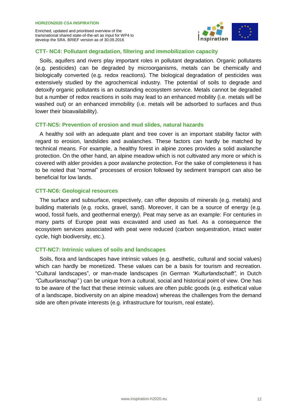

#### **CTT- NC4: Pollutant degradation, filtering and immobilization capacity**

Soils, aquifers and rivers play important roles in pollutant degradation. Organic pollutants (e.g. pesticides) can be degraded by microorganisms, metals can be chemically and biologically converted (e.g. redox reactions). The biological degradation of pesticides was extensively studied by the agrochemical industry. The potential of soils to degrade and detoxify organic pollutants is an outstanding ecosystem service. Metals cannot be degraded but a number of redox reactions in soils may lead to an enhanced mobility (i.e. metals will be washed out) or an enhanced immobility (i.e. metals will be adsorbed to surfaces and thus lower their bioavailability).

#### **CTT-NC5: Prevention of erosion and mud slides, natural hazards**

A healthy soil with an adequate plant and tree cover is an important stability factor with regard to erosion, landslides and avalanches. These factors can hardly be matched by technical means. For example, a healthy forest in alpine zones provides a solid avalanche protection. On the other hand, an alpine meadow which is not cultivated any more or which is covered with alder provides a poor avalanche protection. For the sake of completeness it has to be noted that "normal" processes of erosion followed by sediment transport can also be beneficial for low lands.

#### **CTT-NC6: Geological resources**

The surface and subsurface, respectively, can offer deposits of minerals (e.g. metals) and building materials (e.g. rocks, gravel, sand). Moreover, it can be a source of energy (e.g. wood, fossil fuels, and geothermal energy). Peat may serve as an example: For centuries in many parts of Europe peat was excavated and used as fuel. As a consequence the ecosystem services associated with peat were reduced (carbon sequestration, intact water cycle, high biodiversity, etc.).

#### **CTT-NC7: Intrinsic values of soils and landscapes**

Soils, flora and landscapes have intrinsic values (e.g. aesthetic, cultural and social values) which can hardly be monetized. These values can be a basis for tourism and recreation. "Cultural landscapes", or man-made landscapes (in German *"Kulturlandschaft",* in Dutch *"Cultuurlanschap"* ) can be unique from a cultural, social and historical point of view. One has to be aware of the fact that these intrinsic values are often public goods (e.g. esthetical value of a landscape, biodiversity on an alpine meadow) whereas the challenges from the demand side are often private interests (e.g. infrastructure for tourism, real estate).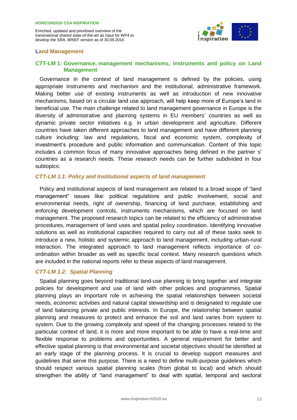

#### <span id="page-12-0"></span>**Land Management**

#### **CTT-LM 1: Governance, management mechanisms, instruments and policy on Land Management**

Governance in the context of land management is defined by the policies, using appropriate instruments and mechanism and the institutional, administrative framework. Making better use of existing instruments as well as introduction of new innovative mechanisms, based on a circular land use approach, will help keep more of Europe's land in beneficial use. The main challenge related to land management governance in Europe is the diversity of administrative and planning systems in EU members' countries as well as dynamic private sector initiatives e.g. in urban development and agriculture. Different countries have taken different approaches to land management and have different planning culture including: law and regulations, fiscal and economic system, complexity of investment's procedure and public information and communication. Content of this topic includes a common focus of many innovative approaches being defined in the partner s' countries as a research needs. These research needs can be further subdivided in four subtopics:

#### *CTT-LM 1.1: Policy and Institutional aspects of land management*

Policy and institutional aspects of land management are related to a broad scope of "land management" issues like: political regulations and public involvement, social and environmental needs, right of ownership, financing of land purchase, establishing and enforcing development controls, instruments mechanisms, which are focused on land management. The proposed research topics can be related to the efficiency of administrative procedures, management of land uses and spatial policy coordination. Identifying innovative solutions as well as institutional capacities required to carry out all of these tasks seek to introduce a new, holistic and systemic approach to land management, including urban-rural interaction. The integrated approach to land management reflects importance of coordination within broader as well as specific local context. Many research questions which are included in the national reports refer to these aspects of land management.

#### *CTT-LM 1.2: Spatial Planning*

Spatial planning goes beyond traditional land-use planning to bring together and integrate policies for development and use of land with other policies and programmes. Spatial planning plays an important role in achieving the spatial relationships between societal needs, economic activities and natural capital stewardship and is designated to regulate use of land balancing private and public interests. In Europe, the relationship between spatial planning and measures to protect and enhance the soil and land varies from system to system. Due to the growing complexity and speed of the changing processes related to the particular context of land, it is more and more important to be able to have a real-time and flexible response to problems and opportunities. A general requirement for better and effective spatial planning is that environmental and societal objectives should be identified at an early stage of the planning process. It is crucial to develop support measures and guidelines that serve this purpose. There is a need to define multi-purpose guidelines which should respect various spatial planning scales (from global to local) and which should strengthen the ability of "land management" to deal with spatial, temporal and sectoral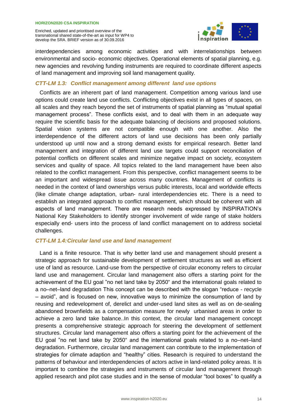

interdependencies among economic activities and with interrelationships between environmental and socio- economic objectives. Operational elements of spatial planning, e.g. new agencies and revolving funding instruments are required to coordinate different aspects of land management and improving soil land management quality.

#### *CTT-LM 1.3: Conflict management among different land use options*

Conflicts are an inherent part of land management. Competition among various land use options could create land use conflicts. Conflicting objectives exist in all types of spaces, on all scales and they reach beyond the set of instruments of spatial planning as "mutual spatial management process". These conflicts exist, and to deal with them in an adequate way require the scientific basis for the adequate balancing of decisions and proposed solutions. Spatial vision systems are not compatible enough with one another. Also the interdependence of the different actors of land use decisions has been only partially understood up until now and a strong demand exists for empirical research. Better land management and integration of different land use targets could support reconciliation of potential conflicts on different scales and minimize negative impact on society, ecosystem services and quality of space. All topics related to the land management have been also related to the conflict management. From this perspective, conflict management seems to be an important and widespread issue across many countries. Management of conflicts is needed in the context of land ownerships versus public interests, local and worldwide effects (like climate change adaptation, urban- rural interdependencies etc. There is a need to establish an integrated approach to conflict management, which should be coherent with all aspects of land management. There are research needs expressed by INSPIRATION's National Key Stakeholders to identify stronger involvement of wide range of stake holders especially end- users into the process of land conflict management on to address societal challenges.

#### *CTT-LM 1.4:Circular land use and land management*

Land is a finite resource. That is why better land use and management should present a strategic approach for sustainable development of settlement structures as well as efficient use of land as resource. Land-use from the perspective of circular economy refers to circular land use and management. Circular land management also offers a starting point for the achievement of the EU goal "no net land take by 2050" and the international goals related to a no–net–land degradation This concept can be described with the slogan "reduce - recycle – avoid", and is focused on new, innovative ways to minimize the consumption of land by reusing and redevelopment of, derelict and under-used land sites as well as on de-sealing abandoned brownfields as a compensation measure for newly urbanised areas in order to achieve a zero land take balance..In this context, the circular land management concept presents a comprehensive strategic approach for steering the development of settlement structures. Circular land management also offers a starting point for the achievement of the EU goal "no net land take by 2050" and the international goals related to a no–net–land degradation. Furthermore, circular land management can contribute to the implementation of strategies for climate adaption and "healthy" cities. Research is required to understand the patterns of behaviour and interdependencies of actors active in land-related policy areas. It is important to combine the strategies and instruments of circular land management through applied research and pilot case studies and in the sense of modular "tool boxes" to qualify a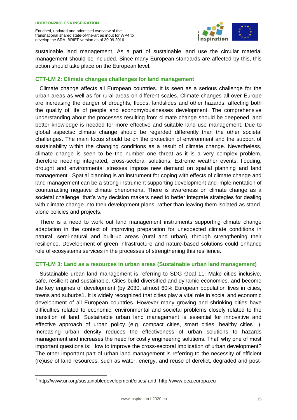

sustainable land management. As a part of sustainable land use the circular material management should be included. Since many European standards are affected by this, this action should take place on the European level.

#### **CTT-LM 2: Climate changes challenges for land management**

Climate change affects all European countries. It is seen as a serious challenge for the urban areas as well as for rural areas on different scales. Climate changes all over Europe are increasing the danger of droughts, floods, landslides and other hazards, affecting both the quality of life of people and economy/businesses development. The comprehensive understanding about the processes resulting from climate change should be deepened, and better knowledge is needed for more effective and suitable land use management. Due to global aspectsc climate change should be regarded differently than the other societal challenges. The main focus should be on the protection of environment and the support of sustainability within the changing conditions as a result of climate change. Nevertheless, climate change is seen to be the number one threat as it is a very complex problem, therefore needing integrated, cross-sectoral solutions. Extreme weather events, flooding, drought and environmental stresses impose new demand on spatial planning and land management. Spatial planning is an instrument for coping with effects of climate change and land management can be a strong instrument supporting development and implementation of counteracting negative climate phenomena. There is awareness on climate change as a societal challenge, that's why decision makers need to better integrate strategies for dealing with climate change into their development plans, rather than leaving them isolated as standalone policies and projects.

There is a need to work out land management instruments supporting climate change adaptation in the context of improving preparation for unexpected climate conditions in natural, semi-natural and built-up areas (rural and urban), through strengthening their resilience. Development of green infrastructure and nature-based solutions could enhance role of ecosystems services in the processes of strengthening this resilience.

#### **CTT-LM 3: Land as a resources in urban areas (Sustainable urban land management)**

Sustainable urban land management is referring to SDG Goal 11: Make cities inclusive, safe, resilient and sustainable. Cities build diversified and dynamic economies, and become the key engines of development (by 2030, almost 60% European population lives in cities, towns and suburbs1. It is widely recognized that cities play a vital role in social and economic development of all European countries. However many growing and shrinking cities have difficulties related to economic, environmental and societal problems closely related to the transition of land. Sustainable urban land management is essential for innovative and effective approach of urban policy (e.g. compact cities, smart cities, healthy cities…). Increasing urban density reduces the effectiveness of urban solutions to hazards management and increases the need for costly engineering solutions. That' why one of most important questions is: How to improve the cross-sectoral implication of urban development? The other important part of urban land management is referring to the necessity of efficient (re)use of land resources: such as water, energy, and reuse of derelict, degraded and post-

<sup>&</sup>lt;sup>1</sup> http://www.un.org/sustainabledevelopment/cities/ and http://www.eea.europa.eu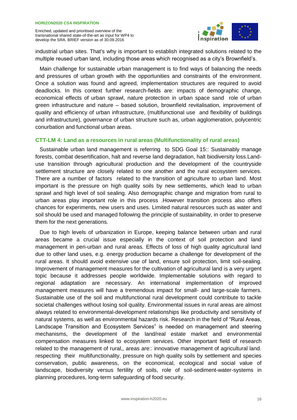

industrial urban sites. That's why is important to establish integrated solutions related to the multiple reused urban land, including those areas which recognised as a city's Brownfield's.

Main challenge for sustainable urban management is to find ways of balancing the needs and pressures of urban growth with the opportunities and constraints of the environment. Once a solution was found and agreed, implementation structures are required to avoid deadlocks. In this context further research-fields are: impacts of demographic change, economical effects of urban sprawl, nature protection in urban space sand role of urban green infrastructure and nature – based solution, brownfield revitalisation, improvement of quality and efficiency of urban infrastructure, (multifunctional use and flexibility of buildings and infrastructure), governance of urban structure such as, urban agglomeration, polycentric conurbation and functional urban areas.

#### **CTT-LM 4: Land as a resources in rural areas (Multifunctionality of rural areas)**

Sustainable urban land management is referring to SDG Goal 15:: Sustainably manage forests, combat desertification, halt and reverse land degradation, halt biodiversity loss.Landuse transition through agricultural production and the development of the countryside settlement structure are closely related to one another and the rural ecosystem services. There are a number of factors related to the transition of agriculture to urban land. Most important is the pressure on high quality soils by new settlements, which lead to urban sprawl and high level of soil sealing. Also demographic change and migration from rural to urban areas play important role in this process .However transition process also offers chances for experiments, new users and uses. Limited natural resources such as water and soil should be used and managed following the principle of sustainability, in order to preserve them for the next generations.

Due to high levels of urbanization in Europe, keeping balance between urban and rural areas became a crucial issue especially in the context of soil protection and land management in peri-urban and rural areas. Effects of loss of high quality agricultural land due to other land uses, e.g. energy production became a challenge for development of the rural areas. It should avoid extensive use of land, ensure soil protection, limit soil-sealing. Improvement of management measures for the cultivation of agricultural land is a very urgent topic because it addresses people worldwide. Implementable solutions with regard to regional adaptation are necessary. An international implementation of improved management measures will have a tremendous impact for small- and large-scale farmers. Sustainable use of the soil and multifunctional rural development could contribute to tackle societal challenges without losing soil quality. Environmental issues in rural areas are almost always related to environmental-development relationships like productivity and sensitivity of natural systems, as well as environmental hazards risk. Research in the field of "Rural Areas, Landscape Transition and Ecosystem Services" is needed on management and steering mechanisms, the development of the land/real estate market and environmental compensation measures linked to ecosystem services. Other important field of research related to the management of rural,, areas are:: innovative management of agricultural land. respecting their multifunctionality, pressure on high quality soils by settlement and species conservation, public awareness, on the economical, ecological and social value of landscape, biodiversity versus fertility of soils, role of soil-sediment-water-systems in planning procedures, long-term safeguarding of food security.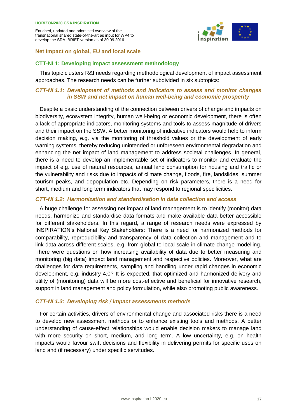

#### <span id="page-16-0"></span>**Net Impact on global, EU and local scale**

#### **CTT-NI 1: Developing impact assessment methodology**

This topic clusters R&I needs regarding methodological development of impact assessment approaches. The research needs can be further subdivided in six subtopics:

#### *CTT-NI 1.1: Development of methods and indicators to assess and monitor changes in SSW and net impact on human well-being and economic prosperity*

Despite a basic understanding of the connection between drivers of change and impacts on biodiversity, ecosystem integrity, human well-being or economic development, there is often a lack of appropriate indicators, monitoring systems and tools to assess magnitude of drivers and their impact on the SSW. A better monitoring of indicative indicators would help to inform decision making, e.g. via the monitoring of threshold values or the development of early warning systems, thereby reducing unintended or unforeseen environmental degradation and enhancing the net impact of land management to address societal challenges. In general, there is a need to develop an implementable set of indicators to monitor and evaluate the impact of e.g. use of natural resources, annual land consumption for housing and traffic or the vulnerability and risks due to impacts of climate change, floods, fire, landslides, summer tourism peaks, and depopulation etc. Depending on risk parameters, there is a need for short, medium and long term indicators that may respond to regional specificities.

#### *CTT-NI 1.2: Harmonization and standardisation in data collection and access*

A huge challenge for assessing net impact of land management is to identify (monitor) data needs, harmonize and standardise data formats and make available data better accessible for different stakeholders. In this regard, a range of research needs were expressed by INSPIRATION's National Key Stakeholders: There is a need for harmonized methods for comparability, reproducibility and transparency of data collection and management and to link data across different scales, e.g. from global to local scale in climate change modelling. There were questions on how increasing availability of data due to better measuring and monitoring (big data) impact land management and respective policies. Moreover, what are challenges for data requirements, sampling and handling under rapid changes in economic development, e.g. industry 4.0? It is expected, that optimized and harmonized delivery and utility of (monitoring) data will be more cost-effective and beneficial for innovative research, support in land management and policy formulation, while also promoting public awareness.

#### *CTT-NI 1.3: Developing risk / impact assessments methods*

For certain activities, drivers of environmental change and associated risks there is a need to develop new assessment methods or to enhance existing tools and methods. A better understanding of cause-effect relationships would enable decision makers to manage land with more security on short, medium, and long term. A low uncertainty, e.g. on health impacts would favour swift decisions and flexibility in delivering permits for specific uses on land and (if necessary) under specific servitudes.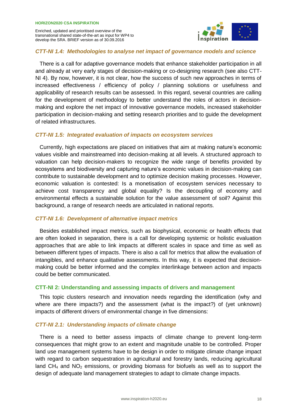

#### *CTT-NI 1.4: Methodologies to analyse net impact of governance models and science*

There is a call for adaptive governance models that enhance stakeholder participation in all and already at very early stages of decision-making or co-designing research (see also CTT-NI 4). By now, however, it is not clear, how the success of such new approaches in terms of increased effectiveness / efficiency of policy / planning solutions or usefulness and applicability of research results can be assessed. In this regard, several countries are calling for the development of methodology to better understand the roles of actors in decisionmaking and explore the net impact of innovative governance models, increased stakeholder participation in decision-making and setting research priorities and to guide the development of related infrastructures.

#### *CTT-NI 1.5: Integrated evaluation of impacts on ecosystem services*

Currently, high expectations are placed on initiatives that aim at making nature's economic values visible and mainstreamed into decision-making at all levels. A structured approach to valuation can help decision-makers to recognize the wide range of benefits provided by ecosystems and biodiversity and capturing nature's economic values in decision-making can contribute to sustainable development and to optimize decision making processes. However, economic valuation is contested: Is a monetisation of ecosystem services necessary to achieve cost transparency and global equality? Is the decoupling of economy and environmental effects a sustainable solution for the value assessment of soil? Against this background, a range of research needs are articulated in national reports.

#### *CTT-NI 1.6: Development of alternative impact metrics*

Besides established impact metrics, such as biophysical, economic or health effects that are often looked in separation, there is a call for developing systemic or holistic evaluation approaches that are able to link impacts at different scales in space and time as well as between different types of impacts. There is also a call for metrics that allow the evaluation of intangibles, and enhance qualitative assessments. In this way, it is expected that decisionmaking could be better informed and the complex interlinkage between action and impacts could be better communicated.

#### **CTT-NI 2: Understanding and assessing impacts of drivers and management**

This topic clusters research and innovation needs regarding the identification (why and where are there impacts?) and the assessment (what is the impact?) of (yet unknown) impacts of different drivers of environmental change in five dimensions:

#### *CTT-NI 2.1: Understanding impacts of climate change*

There is a need to better assess impacts of climate change to prevent long-term consequences that might grow to an extent and magnitude unable to be controlled. Proper land use management systems have to be design in order to mitigate climate change impact with regard to carbon sequestration in agricultural and forestry lands, reducing agricultural land  $CH_4$  and  $NO_2$  emissions, or providing biomass for biofuels as well as to support the design of adequate land management strategies to adapt to climate change impacts.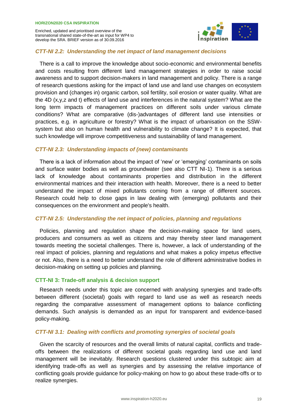

#### *CTT-NI 2.2: Understanding the net impact of land management decisions*

There is a call to improve the knowledge about socio-economic and environmental benefits and costs resulting from different land management strategies in order to raise social awareness and to support decision-makers in land management and policy. There is a range of research questions asking for the impact of land use and land use changes on ecosystem provision and (changes in) organic carbon, soil fertility, soil erosion or water quality. What are the 4D (x,y,z and t) effects of land use and interferences in the natural system? What are the long term impacts of management practices on different soils under various climate conditions? What are comparative (dis-)advantages of different land use intensities or practices, e.g. in agriculture or forestry? What is the impact of urbanisation on the SSWsystem but also on human health and vulnerability to climate change? It is expected, that such knowledge will improve competitiveness and sustainability of land management.

#### *CTT-NI 2.3: Understanding impacts of (new) contaminants*

There is a lack of information about the impact of 'new' or 'emerging' contaminants on soils and surface water bodies as well as groundwater (see also CTT NI-1). There is a serious lack of knowledge about contaminants properties and distribution in the different environmental matrices and their interaction with health. Moreover, there is a need to better understand the impact of mixed pollutants coming from a range of different sources. Research could help to close gaps in law dealing with (emerging) pollutants and their consequences on the environment and people's health.

#### *CTT-NI 2.5: Understanding the net impact of policies, planning and regulations*

Policies, planning and regulation shape the decision-making space for land users, producers and consumers as well as citizens and may thereby steer land management towards meeting the societal challenges. There is, however, a lack of understanding of the real impact of policies, planning and regulations and what makes a policy impetus effective or not. Also, there is a need to better understand the role of different administrative bodies in decision-making on setting up policies and planning.

#### **CTT-NI 3: Trade-off analysis & decision support**

Research needs under this topic are concerned with analysing synergies and trade-offs between different (societal) goals with regard to land use as well as research needs regarding the comparative assessment of management options to balance conflicting demands. Such analysis is demanded as an input for transparent and evidence-based policy-making.

#### *CTT-NI 3.1: Dealing with conflicts and promoting synergies of societal goals*

Given the scarcity of resources and the overall limits of natural capital, conflicts and tradeoffs between the realizations of different societal goals regarding land use and land management will be inevitably. Research questions clustered under this subtopic aim at identifying trade-offs as well as synergies and by assessing the relative importance of conflicting goals provide guidance for policy-making on how to go about these trade-offs or to realize synergies.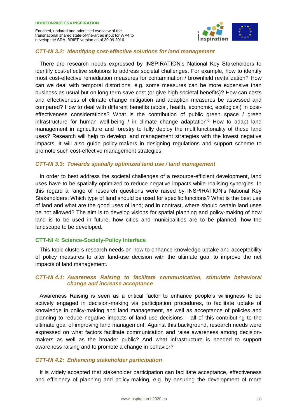

#### *CTT-NI 3.2: Identifying cost-effective solutions for land management*

There are research needs expressed by INSPIRATION's National Key Stakeholders to identify cost-effective solutions to address societal challenges. For example, how to identify most cost-effective remediation measures for contamination / brownfield revitalization? How can we deal with temporal distortions, e.g. some measures can be more expensive than business as usual but on long term save cost (or give high societal benefits)? How can costs and effectiveness of climate change mitigation and adaption measures be assessed and compared? How to deal with different benefits (social, health, economic, ecological) in costeffectiveness considerations? What is the contribution of public green space / green infrastructure for human well-being / in climate change adaptation? How to adapt land management in agriculture and forestry to fully deploy the multifunctionality of these land uses? Research will help to develop land management strategies with the lowest negative impacts. It will also guide policy-makers in designing regulations and support scheme to promote such cost-effective management strategies.

#### *CTT-NI 3.3: Towards spatially optimized land use / land management*

In order to best address the societal challenges of a resource-efficient development, land uses have to be spatially optimized to reduce negative impacts while realising synergies. In this regard a range of research questions were raised by INSPIRATION's National Key Stakeholders: Which type of land should be used for specific functions? What is the best use of land and what are the good uses of land; and in contrast, where should certain land uses be not allowed? The aim is to develop visions for spatial planning and policy-making of how land is to be used in future, how cities and municipalities are to be planned, how the landscape to be developed.

#### **CTT-NI 4: Science-Society-Policy Interface**

This topic clusters research needs on how to enhance knowledge uptake and acceptability of policy measures to alter land-use decision with the ultimate goal to improve the net impacts of land management.

#### *CTT-NI 4.1: Awareness Raising to facilitate communication, stimulate behavioral change and increase acceptance*

Awareness Raising is seen as a critical factor to enhance people's willingness to be actively engaged in decision-making via participation procedures, to facilitate uptake of knowledge in policy-making and land management, as well as acceptance of policies and planning to reduce negative impacts of land use decisions – all of this contributing to the ultimate goal of improving land management. Against this background, research needs were expressed on what factors facilitate communication and raise awareness among decisionmakers as well as the broader public? And what infrastructure is needed to support awareness raising and to promote a change in behavior?

#### *CTT-NI 4.2: Enhancing stakeholder participation*

It is widely accepted that stakeholder participation can facilitate acceptance, effectiveness and efficiency of planning and policy-making, e.g. by ensuring the development of more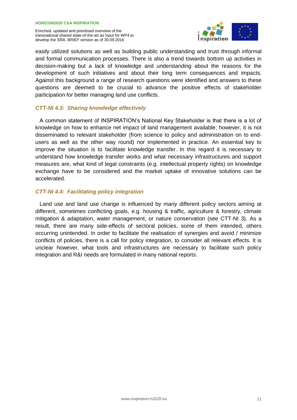

easily utilized solutions as well as building public understanding and trust through informal and formal communication processes. There is also a trend towards bottom up activities in decision-making but a lack of knowledge and understanding about the reasons for the development of such initiatives and about their long term consequences and impacts. Against this background a range of research questions were identified and answers to these questions are deemed to be crucial to advance the positive effects of stakeholder participation for better managing land use conflicts.

#### *CTT-NI 4.3: Sharing knowledge effectively*

A common statement of INSPIRATION's National Key Stakeholder is that there is a lot of knowledge on how to enhance net impact of land management available; however, it is not disseminated to relevant stakeholder (from science to policy and administration on to endusers as well as the other way round) nor implemented in practice. An essential key to improve the situation is to facilitate knowledge transfer. In this regard it is necessary to understand how knowledge transfer works and what necessary infrastructures and support measures are, what kind of legal constraints (e.g. intellectual property rights) on knowledge exchange have to be considered and the market uptake of innovative solutions can be accelerated.

#### *CTT-NI 4.4: Facilitating policy integration*

Land use and land use change is influenced by many different policy sectors aiming at different, sometimes conflicting goals, e.g. housing & traffic, agriculture & forestry, climate mitigation & adaptation, water management, or nature conservation (see CTT-NI 3). As a result, there are many side-effects of sectoral policies, some of them intended, others occurring unintended. In order to facilitate the realisation of synergies and avoid / minimize conflicts of policies, there is a call for policy integration, to consider all relevant effects. It is unclear however, what tools and infrastructures are necessary to facilitate such policy integration and R&I needs are formulated in many national reports.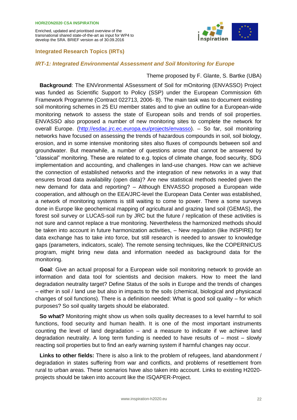#### <span id="page-21-0"></span>**Integrated Research Topics (IRTs)**



#### *IRT-1: Integrated Environmental Assessment and Soil Monitoring for Europe*

#### Theme proposed by F. Glante, S. Bartke (UBA)

**Background**: The ENVironmental ASsessment of Soil for mOnitoring (ENVASSO) Project was funded as Scientific Support to Policy (SSP) under the European Commission 6th Framework Programme (Contract 022713, 2006- 8). The main task was to document existing soil monitoring schemes in 25 EU member states and to give an outline for a European-wide monitoring network to assess the state of European soils and trends of soil properties. ENVASSO also proposed a number of new monitoring sites to complete the network for overall Europe. [\(http://esdac.jrc.ec.europa.eu/projects/envasso\)](http://esdac.jrc.ec.europa.eu/projects/envasso). – So far, soil monitoring networks have focused on assessing the trends of hazardous compounds in soil, soil biology, erosion, and in some intensive monitoring sites also fluxes of compounds between soil and groundwater. But meanwhile, a number of questions arose that cannot be answered by "classical" monitoring. These are related to e.g. topics of climate change, food security, SDG implementation and accounting, and challenges in land-use changes. How can we achieve the connection of established networks and the integration of new networks in a way that ensures broad data availability (open data)? Are new statistical methods needed given the new demand for data and reporting? – Although ENVASSO proposed a European wide cooperation, and although on the EEA/JRC-level the European Data Center was established, a network of monitoring systems is still waiting to come to power. There a some surveys done in Europe like geochemical mapping of agricultural and grazing land soil (GEMAS), the forest soil survey or LUCAS-soil run by JRC but the future / replication of these activities is not sure and cannot replace a true monitoring. Nevertheless the harmonized methods should be taken into account in future harmonization activities, – New regulation (like INSPIRE) for data exchange has to take into force, but still research is needed to answer to knowledge gaps (parameters, indicators, scale). The remote sensing techniques, like the COPERNICUS program, might bring new data and information needed as background data for the monitoring.

**Goal**: Give an actual proposal for a European wide soil monitoring network to provide an information and data tool for scientists and decision makers. How to meet the land degradation neutrality target? Define Status of the soils in Europe and the trends of changes – either in soil / land use but also in impacts to the soils (chemical, biological and physicacal changes of soil functions). There is a definition needed: What is good soil quality – for which purposes? So soil quality targets should be elaborated.

**So what?** Monitoring might show us when soils quality decreases to a level harmful to soil functions, food security and human health. It is one of the most important instruments counting the level of land degradation – and a measure to indicate if we achieve land degradation neutrality. A long term funding is needed to have results of – most – slowly reacting soil properties but to find an early warning system if harmful changes nay occur.

**Links to other fields:** There is also a link to the problem of refugees, land abandonment / degradation in states suffering from war and conflicts, and problems of resettlement from rural to urban areas. These scenarios have also taken into account. Links to existing H2020 projects should be taken into account like the ISQAPER-Project.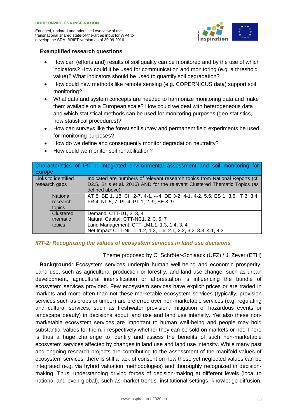

#### **Exemplified research questions**

- How can (efforts and) results of soil quality can be monitored and by the use of which indicators? How could it be used for communication and monitoring (e.g. a threshold value)? What indicators should be used to quantify soil degradation?
- How could new methods like remote sensing (e.g. COPERNICUS data) support soil monitoring?
- What data and system concepts are needed to harmonize monitoring data and make them available on a European scale? How could we deal with heterogeneous data and which statistical methods can be used for monitoring purposes (geo-statistics, new statistical procedures)?
- How can surveys like the forest soil survey and permanent field experiments be used for monitoring purposes?
- How do we define and consequently monitor degradation neutrality?
- How could we monitor soil rehabilitation?

| <b>Europe</b>                        | Characteristics of IRT-1: Integrated environmental assessment and soil monitoring for                                                                       |
|--------------------------------------|-------------------------------------------------------------------------------------------------------------------------------------------------------------|
| Links to identified<br>research gaps | Indicated are numbers of relevant research topics from National Reports (cf.<br>D2.5, Brils et al. 2016) AND for the relevant Clustered Thematic Topics (as |
|                                      | defined above):                                                                                                                                             |
| <b>National</b>                      | AT 5; BE 1, 18; CH 2-7, 4-1, 4-4; DE 3-2, 4-1, 4-2, 5.5; ES 1, 3.5; IT 3, 3.4;                                                                              |
| research                             | FR 4; NL 5, 7; PL 4; PT 1, 2, 9; SE 8, 9                                                                                                                    |
| topics                               |                                                                                                                                                             |
| Clustered                            | Demand: CTT-D1, 2, 3, 4                                                                                                                                     |
| thematic                             | Natural Capital: CTT-NC1, 2, 3, 5, 7                                                                                                                        |
| topics                               | Land Management: CTT-LM1.1, 1.3, 1.4, 3, 4                                                                                                                  |
|                                      | Net Impact CTT-NI1.1, 1.2, 1.3, 1.6, 2.1, 2.2, 3.2, 3.3, 4.1, 4.3                                                                                           |

#### *IRT-2: Recognizing the values of ecosystem services in land use decisions*

#### Theme proposed by C. Schröter-Schlaack (UFZ) / J. Zeyer (ETH)

**Background**: Ecosystem services underpin human well-being and economic prosperity. Land use, such as agricultural production or forestry, and land use change, such as urban development, agricultural intensification or afforestation is influencing the bundle of ecosystem services provided. Few ecosystem services have explicit prices or are traded in markets and more often than not these marketable ecosystem services (typically, provision services such as crops or timber) are preferred over non-marketable services (e.g. regulating and cultural services, such as freshwater provision, mitigation of hazardous events or landscape beauty) in decisions about land use and land use intensity. Yet also these nonmarketable ecosystem services are important to human well-being and people may hold substantial values for them, irrespectively whether they can be sold on markets or not. There is thus a huge challenge to identify and assess the benefits of such non-marketable ecosystem services affected by changes in land use and land use intensity. While many past and ongoing research projects are contributing to the assessment of the manifold values of ecosystem services, there is still a lack of consent on how these yet neglected values can be integrated (e.g. via hybrid valuation methodologies) and thoroughly recognized in decisionmaking. Thus, understanding driving forces of decision-making at different levels (local to national and even global), such as market trends, institutional settings, knowledge diffusion,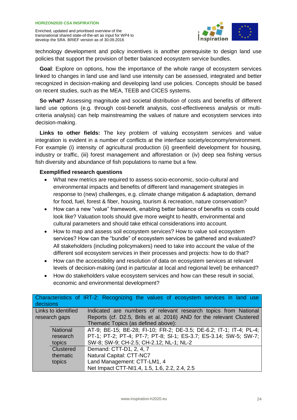

technology development and policy incentives is another prerequisite to design land use policies that support the provision of better balanced ecosystem service bundles.

**Goal**: Explore on options, how the importance of the whole range of ecosystem services linked to changes in land use and land use intensity can be assessed, integrated and better recognized in decision-making and developing land use policies. Concepts should be based on recent studies, such as the MEA, TEEB and CICES systems.

**So what?** Assessing magnitude and societal distribution of costs and benefits of different land use options (e.g. through cost-benefit analysis, cost-effectiveness analysis or multicriteria analysis) can help mainstreaming the values of nature and ecosystem services into decision-making.

**Links to other fields:** The key problem of valuing ecosystem services and value integration is evident in a number of conflicts at the interface society/economy/environment. For example (i) intensity of agricultural production (ii) greenfield development for housing, industry or traffic, (iii) forest management and afforestation or (iv) deep sea fishing versus fish diversity and abundance of fish populations to name but a few.

- What new metrics are required to assess socio-economic, socio-cultural and environmental impacts and benefits of different land management strategies in response to (new) challenges, e.g. climate change mitigation & adaptation, demand for food, fuel, forest & fiber, housing, tourism & recreation, nature conservation?
- How can a new "value" framework, enabling better balance of benefits vs costs could look like? Valuation tools should give more weight to health, environmental and cultural parameters and should take ethical considerations into account.
- How to map and assess soil ecosystem services? How to value soil ecosystem services? How can the "bundle" of ecosystem services be gathered and evaluated? All stakeholders (including policymakers) need to take into account the value of the different soil ecosystem services in their processes and projects: how to do that?
- How can the accessibility and resolution of data on ecosystem services at relevant levels of decision-making (and in particular at local and regional level) be enhanced?
- How do stakeholders value ecosystem services and how can these result in social, economic and environmental development?

| decisions           | Characteristics of IRT-2: Recognizing the values of ecosystem services in land use |
|---------------------|------------------------------------------------------------------------------------|
| Links to identified | Indicated are numbers of relevant research topics from National                    |
| research gaps       | Reports (cf. D2.5, Brils et al. 2016) AND for the relevant Clustered               |
|                     | Thematic Topics (as defined above):                                                |
| National            | AT-9; BE-15; BE-28; FI-10; FR-2; DE-3.5; DE-6.2; IT-1; IT-4; PL-4;                 |
| research            | PT-1; PT-2; PT-4; PT-7; PT-8; SI-1; ES-3.7; ES-3.14; SW-5; SW-7;                   |
| topics              | SW-8; SW-9; CH-2.5; CH-2.12; NL-1; NL-2                                            |
| <b>Clustered</b>    | Demand: CTT-D1, 2, 4, 7                                                            |
| thematic            | Natural Capital: CTT-NC7                                                           |
| topics              | Land Management: CTT-LM1, 4                                                        |
|                     | Net Impact CTT-NI1.4, 1.5, 1.6, 2.2, 2.4, 2.5                                      |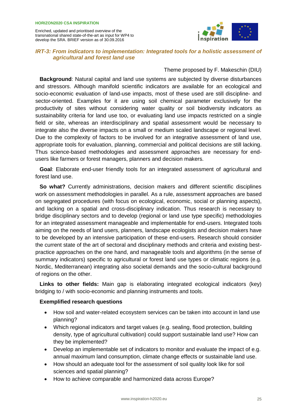

#### *IRT-3: From indicators to implementation: Integrated tools for a holistic assessment of agricultural and forest land use*

#### Theme proposed by F. Makeschin (DIU)

**Background**: Natural capital and land use systems are subjected by diverse disturbances and stressors. Although manifold scientific indicators are available for an ecological and socio-economic evaluation of land-use impacts, most of these used are still discipline- and sector-oriented. Examples for it are using soil chemical parameter exclusively for the productivity of sites without considering water quality or soil biodiversity indicators as sustainability criteria for land use too, or evaluating land use impacts restricted on a single field or site, whereas an interdisciplinary and spatial assessment would be necessary to integrate also the diverse impacts on a small or medium scaled landscape or regional level. Due to the complexity of factors to be involved for an integrative assessment of land use, appropriate tools for evaluation, planning, commercial and political decisions are still lacking. Thus science-based methodologies and assessment approaches are necessary for endusers like farmers or forest managers, planners and decision makers.

**Goal**: Elaborate end-user friendly tools for an integrated assessment of agricultural and forest land use.

**So what?** Currently administrations, decision makers and different scientific disciplines work on assessment methodologies in parallel. As a rule, assessment approaches are based on segregated procedures (with focus on ecological, economic, social or planning aspects), and lacking on a spatial and cross-disciplinary indication. Thus research is necessary to bridge disciplinary sectors and to develop (regional or land use type specific) methodologies for an integrated assessment manageable and implementable for end-users. Integrated tools aiming on the needs of land users, planners, landscape ecologists and decision makers have to be developed by an intensive participation of these end-users. Research should consider the current state of the art of sectoral and disciplinary methods and criteria and existing bestpractice approaches on the one hand, and manageable tools and algorithms (in the sense of summary indicators) specific to agricultural or forest land use types or climatic regions (e.g. Nordic, Mediterranean) integrating also societal demands and the socio-cultural background of regions on the other.

**Links to other fields:** Main gap is elaborating integrated ecological indicators (key) bridging to / with socio-economic and planning instruments and tools.

- How soil and water-related ecosystem services can be taken into account in land use planning?
- Which regional indicators and target values (e.g. sealing, flood protection, building density, type of agricultural cultivation) could support sustainable land use? How can they be implemented?
- Develop an implementable set of indicators to monitor and evaluate the impact of e.g. annual maximum land consumption, climate change effects or sustainable land use.
- How should an adequate tool for the assessment of soil quality look like for soil sciences and spatial planning?
- How to achieve comparable and harmonized data across Europe?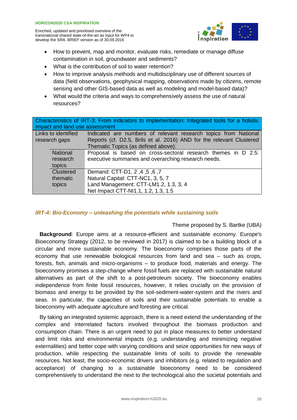

- How to prevent, map and monitor, evaluate risks, remediate or manage diffuse contamination in soil, groundwater and sediments?
- What is the contribution of soil to water retention?
- How to improve analysis methods and multidisciplinary use of different sources of data (field observations, geophysical mapping, observations made by citizens, remote sensing and other GIS-based data as well as modeling and model-based data)?
- What would the criteria and ways to comprehensively assess the use of natural resources?

| Characteristics of IRT-3: From indicators to implementation: Integrated tools for a holistic |                                                                      |  |
|----------------------------------------------------------------------------------------------|----------------------------------------------------------------------|--|
| impact and land use assessment                                                               |                                                                      |  |
| Links to identified                                                                          | Indicated are numbers of relevant research topics from National      |  |
| research gaps                                                                                | Reports (cf. D2.5, Brils et al. 2016) AND for the relevant Clustered |  |
|                                                                                              | Thematic Topics (as defined above):                                  |  |
| National                                                                                     | Proposal is based on cross-sectoral research themes in D 2.5:        |  |
| research                                                                                     | executive summaries and overarching research needs.                  |  |
| topics                                                                                       |                                                                      |  |
| Clustered                                                                                    | 7, 6, 5, 4, 2 Demand: CTT-D1, 2                                      |  |
| thematic                                                                                     | Natural Capital: CTT-NC1, 3, 5, 7                                    |  |
| topics                                                                                       | Land Management: CTT-LM1.2, 1.3, 3, 4                                |  |
|                                                                                              | Net Impact CTT-NI1.1, 1.2, 1.3, 1.5                                  |  |

#### *IRT-4: Bio-Economy – unleashing the potentials while sustaining soils*

#### Theme proposed by S. Bartke (UBA)

**Background**: Europe aims at a resource-efficient and sustainable economy. Europe's Bioeconomy Strategy (2012, to be reviewed in 2017) is claimed to be a building block of a circular and more sustainable economy. The bioeconomy comprises those parts of the economy that use renewable biological resources from land and sea – such as crops, forests, fish, animals and micro-organisms – to produce food, materials and energy. The bioeconomy promises a step-change where fossil fuels are replaced with sustainable natural alternatives as part of the shift to a post-petroleum society. The bioeconomy enables independence from finite fossil resources, however, it relies crucially on the provision of biomass and energy to be provided by the soil-sediment-water-system and the rivers and seas. In particular, the capacities of soils and their sustainable potentials to enable a bioeconomy with adequate agriculture and foresting are critical.

By taking an integrated systemic approach, there is a need extend the understanding of the complex and interrelated factors involved throughout the biomass production and consumption chain. There is an urgent need to put in place measures to better understand and limit risks and environmental impacts (e.g. understanding and minimizing negative externalities) and better cope with varying conditions and seize opportunities for new ways of production, while respecting the sustainable limits of soils to provide the renewable resources. Not least, the socio-economic drivers and inhibitors (e.g. related to regulation and acceptance) of changing to a sustainable bioeconomy need to be considered comprehensively to understand the next to the technological also the societal potentials and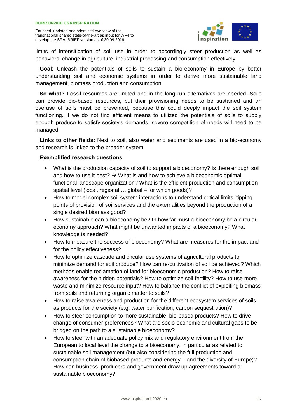

limits of intensification of soil use in order to accordingly steer production as well as behavioral change in agriculture, industrial processing and consumption effectively.

**Goal**: Unleash the potentials of soils to sustain a bio-economy in Europe by better understanding soil and economic systems in order to derive more sustainable land management, biomass production and consumption

**So what?** Fossil resources are limited and in the long run alternatives are needed. Soils can provide bio-based resources, but their provisioning needs to be sustained and an overuse of soils must be prevented, because this could deeply impact the soil system functioning. If we do not find efficient means to utilized the potentials of soils to supply enough produce to satisfy society's demands, severe competition of needs will need to be managed.

**Links to other fields:** Next to soil, also water and sediments are used in a bio-economy and research is linked to the broader system.

- What is the production capacity of soil to support a bioeconomy? Is there enough soil and how to use it best?  $\rightarrow$  What is and how to achieve a bioeconomic optimal functional landscape organization? What is the efficient production and consumption spatial level (local, regional … global – for which goods)?
- How to model complex soil system interactions to understand critical limits, tipping points of provision of soil services and the externalities beyond the production of a single desired biomass good?
- How sustainable can a bioeconomy be? In how far must a bioeconomy be a circular economy approach? What might be unwanted impacts of a bioeconomy? What knowledge is needed?
- How to measure the success of bioeconomy? What are measures for the impact and for the policy effectiveness?
- How to optimize cascade and circular use systems of agricultural products to minimize demand for soil produce? How can re-cultivation of soil be achieved? Which methods enable reclamation of land for bioeconomic production? How to raise awareness for the hidden potentials? How to optimize soil fertility? How to use more waste and minimize resource input? How to balance the conflict of exploiting biomass from soils and returning organic matter to soils?
- How to raise awareness and production for the different ecosystem services of soils as products for the society (e.g. water purification, carbon sequestration)?
- How to steer consumption to more sustainable, bio-based products? How to drive change of consumer preferences? What are socio-economic and cultural gaps to be bridged on the path to a sustainable bioeconomy?
- How to steer with an adequate policy mix and regulatory environment from the European to local level the change to a bioeconomy, in particular as related to sustainable soil management (but also considering the full production and consumption chain of biobased products and energy – and the diversity of Europe)? How can business, producers and government draw up agreements toward a sustainable bioeconomy?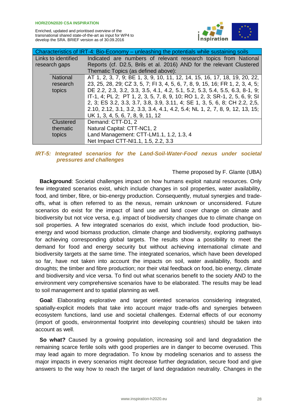

| Characteristics of IRT-4: Bio-Economy – unleashing the potentials while sustaining soils |                                                                               |  |
|------------------------------------------------------------------------------------------|-------------------------------------------------------------------------------|--|
| Links to identified                                                                      | Indicated are numbers of relevant research topics from National               |  |
| research gaps                                                                            | Reports (cf. D2.5, Brils et al. 2016) AND for the relevant Clustered          |  |
|                                                                                          | Thematic Topics (as defined above):                                           |  |
| <b>National</b>                                                                          | AT 1, 2, 3, 7, 9; BE 1, 3, 9, 10, 11, 12, 14, 15, 16, 17, 18, 19, 20, 22,     |  |
| research                                                                                 | 23, 25, 28, 29; CZ 3, 5, 7; FI 3, 4, 5, 6, 7, 8, 9, 15, 16; FR 1, 2, 3, 4, 5; |  |
| topics                                                                                   | DE 2.2, 2.3, 3.2, 3.3, 3.5, 4.1, 4.2, 5.1, 5.2, 5.3, 5.4, 5.5, 6.3, 8-1, 9;   |  |
|                                                                                          | IT-1, 4; PL 2; PT 1, 2, 3, 5, 7, 8, 9, 10; RO 1, 2, 3; SR-1, 2, 5, 6, 9; SI   |  |
|                                                                                          | 2, 3; ES 3.2, 3.3, 3.7, 3.8, 3.9, 3.11, 4; SE 1, 3, 5, 6, 8; CH 2.2, 2,5,     |  |
|                                                                                          | 2.10, 2.12, 3.1, 3.2, 3.3, 3.4, 4.1, 4.2, 5.4; NL 1, 2, 7, 8, 9, 12, 13, 15;  |  |
|                                                                                          | UK 1, 3, 4, 5, 6, 7, 8, 9, 11, 12                                             |  |
| Clustered                                                                                | Demand: CTT-D1, 2                                                             |  |
| thematic                                                                                 | Natural Capital: CTT-NC1, 2                                                   |  |
| topics                                                                                   | Land Management: CTT-LM1.1, 1.2, 1.3, 4                                       |  |
|                                                                                          | Net Impact CTT-NI1.1, 1.5, 2.2, 3.3                                           |  |

#### *IRT-5: Integrated scenarios for the Land-Soil-Water-Food nexus under societal pressures and challenges*

#### Theme proposed by F. Glante (UBA)

**Background**: Societal challenges impact on how humans exploit natural resources. Only few integrated scenarios exist, which include changes in soil properties, water availability, food, and timber, fibre, or bio-energy production. Consequently, mutual synergies and tradeoffs, what is often referred to as the nexus, remain unknown or unconsidered. Future scenarios do exist for the impact of land use and land cover change on climate and biodiversity but not vice versa, e.g. impact of biodiversity changes due to climate change on soil properties. A few integrated scenarios do exist, which include food production, bioenergy and wood biomass production, climate change and biodiversity, exploring pathways for achieving corresponding global targets. The results show a possibility to meet the demand for food and energy security but without achieving international climate and biodiversity targets at the same time. The integrated scenarios, which have been developed so far, have not taken into account the impacts on soil, water availability, floods and droughts; the timber and fibre production; nor their vital feedback on food, bio energy, climate and biodiversity and vice versa. To find out what scenarios benefit to the society AND to the environment very comprehensive scenarios have to be elaborated. The results may be lead to soil management and to spatial planning as well.

**Goal**: Elaborating explorative and target oriented scenarios considering integrated, spatially-explicit models that take into account major trade-offs and synergies between ecosystem functions, land use and societal challenges. External effects of our economy (import of goods, environmental footprint into developing countries) should be taken into account as well.

**So what?** Caused by a growing population, increasing soil and land degradation the remaining scarce fertile soils with good properties are in danger to become overused. This may lead again to more degradation. To know by modeling scenarios and to assess the major impacts in every scenarios might decrease further degradation, secure food and give answers to the way how to reach the target of land degradation neutrality. Changes in the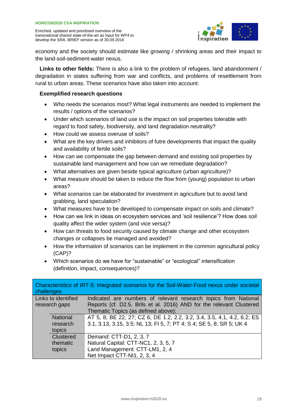

economy and the society should estimate like growing / shrinking areas and their impact to the land-soil-sediment-water nexus.

**Links to other fields:** There is also a link to the problem of refugees, land abandonment / degradation in states suffering from war and conflicts, and problems of resettlement from rural to urban areas. These scenarios have also taken into account.

- Who needs the scenarios most? What legal instruments are needed to implement the results / options of the scenarios?
- Under which scenarios of land use is the impact on soil properties tolerable with regard to food safety, biodiversity, and land degradation neutrality?
- How could we assess overuse of soils?
- What are the key drivers and inhibitors of futre developments that impact the quality and availability of fertile soils?
- How can we compensate the gap between demand and existing soil properties by sustainable land management and how can we remediate degradation?
- What alternatives are given beside typical agriculture (urban agriculture)?
- What measure should be taken to reduce the flow from (young) population to urban areas?
- What scenarios can be elaborated for investment in agriculture but to avoid land grabbing, land speculation?
- What measures have to be developed to compensate impact on soils and climate?
- How can we link in ideas on ecosystem services and 'soil resilience'? How does soil quality affect the wider system (and vice versa)?
- How can threats to food security caused by climate change and other ecosystem changes or collapses be managed and avoided?
- How the information of scenarios can be implement in the common agricultural policy (CAP)?
- Which scenarios do we have for "sustainable" or "ecological" intensification (definition, impact, consequences)?

| challenges |                     | Characteristics of IRT-5: Integrated scenarios for the Soil-Water-Food nexus under societal |
|------------|---------------------|---------------------------------------------------------------------------------------------|
|            | Links to identified | Indicated are numbers of relevant research topics from National                             |
|            | research gaps       | Reports (cf. D2.5, Brils et al. 2016) AND for the relevant Clustered                        |
|            |                     | Thematic Topics (as defined above):                                                         |
|            | <b>National</b>     | AT 5, 8; BE 22, 27; CZ 6; DE 1.2, 2.2, 3.2, 3.4, 3.5, 4.1, 4.2, 6.2; ES                     |
|            | research            | 3.1, 3.13, 3.15, 3.5; NL 13; FI 5, 7; PT 4; S 4; SE 5, 8; SR 5; UK 4                        |
|            | topics              |                                                                                             |
|            | Clustered           | Demand: CTT-D1, 2, 3, 7                                                                     |
|            | thematic            | Natural Capital: CTT-NC1, 2, 3, 5, 7                                                        |
|            | topics              | Land Management: CTT-LM1, 2, 4                                                              |
|            |                     | Net Impact CTT-NI1, 2, 3, 4                                                                 |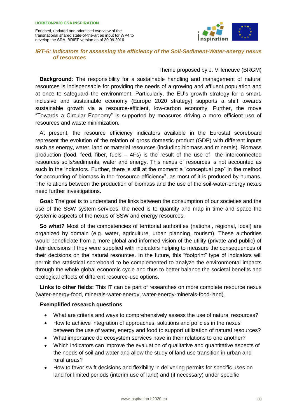

#### *IRT-6: Indicators for assessing the efficiency of the Soil-Sediment-Water-energy nexus of resources*

#### Theme proposed by J. Villeneuve (BRGM)

**Background:** The responsibility for a sustainable handling and management of natural resources is indispensable for providing the needs of a growing and affluent population and at once to safeguard the environment. Particularly, the EU's growth strategy for a smart, inclusive and sustainable economy (Europe 2020 strategy) supports a shift towards sustainable growth via a resource-efficient, low-carbon economy. Further, the move "Towards a Circular Economy" is supported by measures driving a more efficient use of resources and waste minimization.

At present, the resource efficiency indicators available in the Eurostat scoreboard represent the evolution of the relation of gross domestic product (GDP) with different inputs such as energy, water, land or material resources (including biomass and minerals). Biomass production (food, feed, fiber, fuels – 4Fs) is the result of the use of the interconnected resources soils/sediments, water and energy. This nexus of resources is not accounted as such in the indicators. Further, there is still at the moment a "conceptual gap" in the method for accounting of biomass in the "resource efficiency", as most of it is produced by humans. The relations between the production of biomass and the use of the soil-water-energy nexus need further investigations.

**Goal**: The goal is to understand the links between the consumption of our societies and the use of the SSW system services: the need is to quantify and map in time and space the systemic aspects of the nexus of SSW and energy resources.

**So what?** Most of the competencies of territorial authorities (national, regional, local) are organized by domain (e.g. water, agriculture, urban planning, tourism). These authorities would beneficiate from a more global and informed vision of the utility (private and public) of their decisions if they were supplied with indicators helping to measure the consequences of their decisions on the natural resources. In the future, this "footprint" type of indicators will permit the statistical scoreboard to be complemented to analyze the environmental impacts through the whole global economic cycle and thus to better balance the societal benefits and ecological effects of different resource-use options.

**Links to other fields:** This IT can be part of researches on more complete resource nexus (water-energy-food, minerals-water-energy, water-energy-minerals-food-land).

- What are criteria and ways to comprehensively assess the use of natural resources?
- How to achieve integration of approaches, solutions and policies in the nexus between the use of water, energy and food to support utilization of natural resources?
- What importance do ecosystem services have in their relations to one another?
- Which indicators can improve the evaluation of qualitative and quantitative aspects of the needs of soil and water and allow the study of land use transition in urban and rural areas?
- How to favor swift decisions and flexibility in delivering permits for specific uses on land for limited periods (interim use of land) and (if necessary) under specific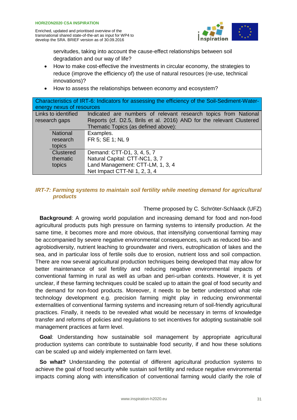

servitudes, taking into account the cause-effect relationships between soil degradation and our way of life?

- How to make cost-effective the investments in circular economy, the strategies to reduce (improve the efficiency of) the use of natural resources (re-use, technical innovations)?
- How to assess the relationships between economy and ecosystem?

| Characteristics of IRT-6: Indicators for assessing the efficiency of the Soil-Sediment-Water-<br>energy nexus of resources |                     |                                                                      |
|----------------------------------------------------------------------------------------------------------------------------|---------------------|----------------------------------------------------------------------|
|                                                                                                                            | Links to identified | Indicated are numbers of relevant research topics from National      |
|                                                                                                                            | research gaps       | Reports (cf. D2.5, Brils et al. 2016) AND for the relevant Clustered |
|                                                                                                                            |                     | Thematic Topics (as defined above):                                  |
|                                                                                                                            | <b>National</b>     | Examples.                                                            |
|                                                                                                                            | research            | FR 5; SE 1; NL 9                                                     |
|                                                                                                                            | topics              |                                                                      |
|                                                                                                                            | Clustered           | Demand: CTT-D1, 3, 4, 5, 7                                           |
|                                                                                                                            | thematic            | Natural Capital: CTT-NC1, 3, 7                                       |
|                                                                                                                            | topics              | Land Management: CTT-LM, 1, 3, 4                                     |
|                                                                                                                            |                     | Net Impact CTT-NI 1, 2, 3, 4                                         |

#### *IRT-7: Farming systems to maintain soil fertility while meeting demand for agricultural products*

#### Theme proposed by C. Schröter-Schlaack (UFZ)

**Background**: A growing world population and increasing demand for food and non-food agricultural products puts high pressure on farming systems to intensify production. At the same time, it becomes more and more obvious, that intensifying conventional farming may be accompanied by severe negative environmental consequences, such as reduced bio- and agrobiodiversity, nutrient leaching to groundwater and rivers, eutrophication of lakes and the sea, and in particular loss of fertile soils due to erosion, nutrient loss and soil compaction. There are now several agricultural production techniques being developed that may allow for better maintenance of soil fertility and reducing negative environmental impacts of conventional farming in rural as well as urban and peri-urban contexts. However, it is yet unclear, if these farming techniques could be scaled up to attain the goal of food security and the demand for non-food products. Moreover, it needs to be better understood what role technology development e.g. precision farming might play in reducing environmental externalities of conventional farming systems and increasing return of soil-friendly agricultural practices. Finally, it needs to be revealed what would be necessary in terms of knowledge transfer and reforms of policies and regulations to set incentives for adopting sustainable soil management practices at farm level.

**Goal**: Understanding how sustainable soil management by appropriate agricultural production systems can contribute to sustainable food security, if and how these solutions can be scaled up and widely implemented on farm level.

So what? Understanding the potential of different agricultural production systems to achieve the goal of food security while sustain soil fertility and reduce negative environmental impacts coming along with intensification of conventional farming would clarify the role of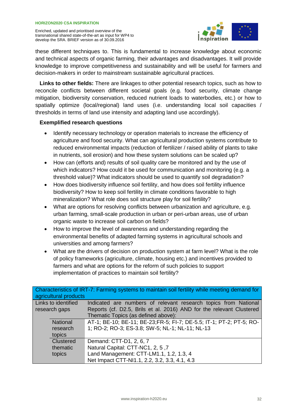

these different techniques to. This is fundamental to increase knowledge about economic and technical aspects of organic farming, their advantages and disadvantages. It will provide knowledge to improve competitiveness and sustainability and will be useful for farmers and decision-makers in order to mainstream sustainable agricultural practices.

**Links to other fields:** There are linkages to other potential research topics, such as how to reconcile conflicts between different societal goals (e.g. food security, climate change mitigation, biodiversity conservation, reduced nutrient loads to waterbodies, etc.) or how to spatially optimize (local/regional) land uses (i.e. understanding local soil capacities / thresholds in terms of land use intensity and adapting land use accordingly).

- Identify necessary technology or operation materials to increase the efficiency of agriculture and food security. What can agricultural production systems contribute to reduced environmental impacts (reduction of fertilizer / raised ability of plants to take in nutrients, soil erosion) and how these system solutions can be scaled up?
- How can (efforts and) results of soil quality care be monitored and by the use of which indicators? How could it be used for communication and monitoring (e.g. a threshold value)? What indicators should be used to quantify soil degradation?
- How does biodiversity influence soil fertility, and how does soil fertility influence biodiversity? How to keep soil fertility in climate conditions favorable to high mineralization? What role does soil structure play for soil fertility?
- What are options for resolving conflicts between urbanization and agriculture, e.g. urban farming, small-scale production in urban or peri-urban areas, use of urban organic waste to increase soil carbon on fields?
- How to improve the level of awareness and understanding regarding the environmental benefits of adapted farming systems in agricultural schools and universities and among farmers?
- What are the drivers of decision on production system at farm level? What is the role of policy frameworks (agriculture, climate, housing etc.) and incentives provided to farmers and what are options for the reform of such policies to support implementation of practices to maintain soil fertility?

| agricultural products | Characteristics of IRT-7: Farming systems to maintain soil fertility while meeting demand for |
|-----------------------|-----------------------------------------------------------------------------------------------|
| Links to identified   | Indicated are numbers of relevant research topics from National                               |
| research gaps         | Reports (cf. D2.5, Brils et al. 2016) AND for the relevant Clustered                          |
|                       | Thematic Topics (as defined above):                                                           |
| <b>National</b>       | AT-1; BE-10; BE-11; BE-23; FR-5; FI-7; DE-5.5; IT-1; PT-2; PT-5; RO-                          |
| research              | 1; RO-2; RO-3; ES-3.8; SW-5; NL-1; NL-11; NL-13                                               |
| topics                |                                                                                               |
| Clustered             | Demand: CTT-D1, 2, 6, 7                                                                       |
| thematic              | Natural Capital: CTT-NC1, 2, 5,7                                                              |
| topics                | Land Management: CTT-LM1.1, 1.2, 1.3, 4                                                       |
|                       | Net Impact CTT-NI1.1, 2.2, 3.2, 3.3, 4.1, 4.3                                                 |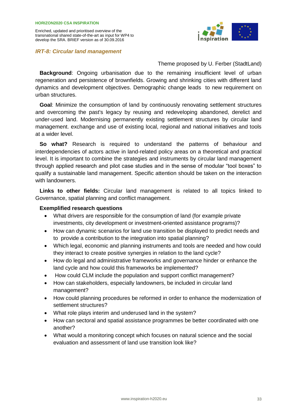*IRT-8: Circular land management* 



Theme proposed by U. Ferber (StadtLand)

**Background**: Ongoing urbanisation due to the remaining insufficient level of urban regeneration and persistence of brownfields. Growing and shrinking cities with different land dynamics and development objectives. Demographic change leads to new requirement on urban structures.

**Goal**: Minimize the consumption of land by continuously renovating settlement structures and overcoming the past's legacy by reusing and redeveloping abandoned, derelict and under-used land. Modernising permanently existing settlement structures by circular land management. exchange and use of existing local, regional and national initiatives and tools at a wider level.

**So what?** Research is required to understand the patterns of behaviour and interdependencies of actors active in land-related policy areas on a theoretical and practical level. It is important to combine the strategies and instruments by circular land management through applied research and pilot case studies and in the sense of modular "tool boxes" to qualify a sustainable land management. Specific attention should be taken on the interaction with landowners.

**Links to other fields:** Circular land management is related to all topics linked to Governance, spatial planning and conflict management.

- What drivers are responsible for the consumption of land (for example private investments, city development or investment-oriented assistance programs)?
- How can dynamic scenarios for land use transition be displayed to predict needs and to provide a contribution to the integration into spatial planning?
- Which legal, economic and planning instruments and tools are needed and how could they interact to create positive synergies in relation to the land cycle?
- How do legal and administrative frameworks and governance hinder or enhance the land cycle and how could this frameworks be implemented?
- How could CLM include the population and support conflict management?
- How can stakeholders, especially landowners, be included in circular land management?
- How could planning procedures be reformed in order to enhance the modernization of settlement structures?
- What role plays interim and underused land in the system?
- How can sectoral and spatial assistance programmes be better coordinated with one another?
- What would a monitoring concept which focuses on natural science and the social evaluation and assessment of land use transition look like?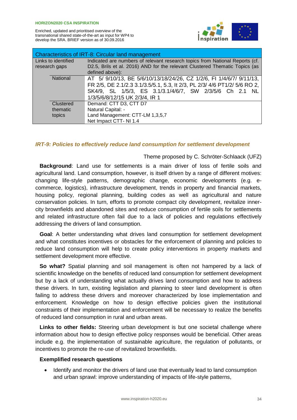

| Characteristics of IRT-8: Circular land management |                                                                                                                                                             |  |
|----------------------------------------------------|-------------------------------------------------------------------------------------------------------------------------------------------------------------|--|
| Links to identified<br>research gaps               | Indicated are numbers of relevant research topics from National Reports (cf.<br>D2.5, Brils et al. 2016) AND for the relevant Clustered Thematic Topics (as |  |
|                                                    | defined above):                                                                                                                                             |  |
| <b>National</b>                                    | AT 5/ 9/10/13, BE 5/6/10/13/18/24/26, CZ 1/2/6, FI 1/4/6/7/ 9/11/13,                                                                                        |  |
|                                                    | FR 2/5, DE 2.1/2.3 3.1/3.5/5.1, 5.3, It 2/3, PL 2/3/ 4/6 PT1/2/ 5/6 RO 2,                                                                                   |  |
|                                                    | SK4/9, SL 1/5/3, ES 3.1/3.1/4/6/7, SW 2/3/5/6 Ch 2.1 NL                                                                                                     |  |
|                                                    | 1/3/5/6/8/12/15 UK 2/3/4, IR 1                                                                                                                              |  |
| Clustered                                          | Demand: CTT D3, CTT D7                                                                                                                                      |  |
| thematic                                           | Natural Capital: -                                                                                                                                          |  |
| topics                                             | Land Management: CTT-LM 1,3,5,7                                                                                                                             |  |
|                                                    | Net Impact CTT-NI 1.4                                                                                                                                       |  |

#### *IRT-9: Policies to effectively reduce land consumption for settlement development*

#### Theme proposed by C. Schröter-Schlaack (UFZ)

**Background**: Land use for settlements is a main driver of loss of fertile soils and agricultural land. Land consumption, however, is itself driven by a range of different motives: changing life-style patterns, demographic change, economic developments (e.g. ecommerce, logistics), infrastructure development, trends in property and financial markets, housing policy, regional planning, building codes as well as agricultural and nature conservation policies. In turn, efforts to promote compact city development, revitalize innercity brownfields and abandoned sites and reduce consumption of fertile soils for settlements and related infrastructure often fail due to a lack of policies and regulations effectively addressing the drivers of land consumption.

**Goal**: A better understanding what drives land consumption for settlement development and what constitutes incentives or obstacles for the enforcement of planning and policies to reduce land consumption will help to create policy interventions in property markets and settlement development more effective.

**So what?** Spatial planning and soil management is often not hampered by a lack of scientific knowledge on the benefits of reduced land consumption for settlement development but by a lack of understanding what actually drives land consumption and how to address these drivers. In turn, existing legislation and planning to steer land development is often failing to address these drivers and moreover characterized by lose implementation and enforcement. Knowledge on how to design effective policies given the institutional constraints of their implementation and enforcement will be necessary to realize the benefits of reduced land consumption in rural and urban areas.

**Links to other fields:** Steering urban development is but one societal challenge where information about how to design effective policy responses would be beneficial. Other areas include e.g. the implementation of sustainable agriculture, the regulation of pollutants, or incentives to promote the re-use of revitalized brownfields.

#### **Exemplified research questions**

• Identify and monitor the drivers of land use that eventually lead to land consumption and urban sprawl: improve understanding of impacts of life-style patterns,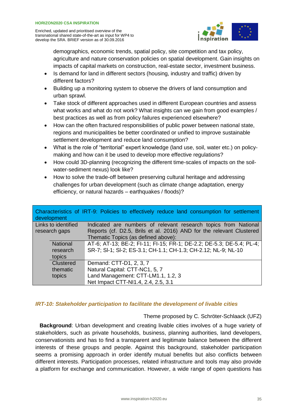

demographics, economic trends, spatial policy, site competition and tax policy, agriculture and nature conservation policies on spatial development. Gain insights on impacts of capital markets on construction, real-estate sector, investment business.

- Is demand for land in different sectors (housing, industry and traffic) driven by different factors?
- Building up a monitoring system to observe the drivers of land consumption and urban sprawl.
- Take stock of different approaches used in different European countries and assess what works and what do not work? What insights can we gain from good examples / best practices as well as from policy failures experienced elsewhere?
- How can the often fractured responsibilities of public power between national state, regions and municipalities be better coordinated or unified to improve sustainable settlement development and reduce land consumption?
- What is the role of "territorial" expert knowledge (land use, soil, water etc.) on policymaking and how can it be used to develop more effective regulations?
- How could 3D-planning (recognizing the different time-scales of impacts on the soilwater-sediment nexus) look like?
- How to solve the trade-off between preserving cultural heritage and addressing challenges for urban development (such as climate change adaptation, energy efficiency, or natural hazards – earthquakes / floods)?

| development         | Characteristics of IRT-9: Policies to effectively reduce land consumption for settlement |
|---------------------|------------------------------------------------------------------------------------------|
| Links to identified | Indicated are numbers of relevant research topics from National                          |
| research gaps       | Reports (cf. D2.5, Brils et al. 2016) AND for the relevant Clustered                     |
|                     | Thematic Topics (as defined above):                                                      |
| <b>National</b>     | AT-6; AT-13; BE-2; FI-11; FI-15; FR-1; DE-2.2; DE-5.3; DE-5.4; PL-4;                     |
| research            | SR-7; SI-1; SI-2; ES-3.1; CH-1.1; CH-1.3; CH-2.12; NL-9; NL-10                           |
| topics              |                                                                                          |
| <b>Clustered</b>    | Demand: CTT-D1, 2, 3, 7                                                                  |
| thematic            | Natural Capital: CTT-NC1, 5, 7                                                           |
| topics              | Land Management: CTT-LM1.1, 1.2, 3                                                       |
|                     | Net Impact CTT-NI1.4, 2.4, 2.5, 3.1                                                      |

#### *IRT-10: Stakeholder participation to facilitate the development of livable cities*

#### Theme proposed by C. Schröter-Schlaack (UFZ)

**Background**: Urban development and creating livable cities involves of a huge variety of stakeholders, such as private households, business, planning authorities, land developers, conservationists and has to find a transparent and legitimate balance between the different interests of these groups and people. Against this background, stakeholder participation seems a promising approach in order identify mutual benefits but also conflicts between different interests. Participation processes, related infrastructure and tools may also provide a platform for exchange and communication. However, a wide range of open questions has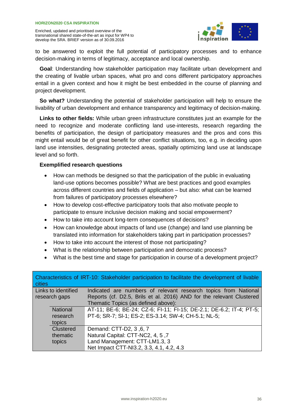

to be answered to exploit the full potential of participatory processes and to enhance decision-making in terms of legitimacy, acceptance and local ownership.

**Goal**: Understanding how stakeholder participation may facilitate urban development and the creating of livable urban spaces, what pro and cons different participatory approaches entail in a given context and how it might be best embedded in the course of planning and project development.

**So what?** Understanding the potential of stakeholder participation will help to ensure the livability of urban development and enhance transparency and legitimacy of decision-making.

**Links to other fields:** While urban green infrastructure constitutes just an example for the need to recognize and moderate conflicting land use-interests, research regarding the benefits of participation, the design of participatory measures and the pros and cons this might entail would be of great benefit for other conflict situations, too, e.g. in deciding upon land use intensities, designating protected areas, spatially optimizing land use at landscape level and so forth.

- How can methods be designed so that the participation of the public in evaluating land-use options becomes possible? What are best practices and good examples across different countries and fields of application – but also: what can be learned from failures of participatory processes elsewhere?
- How to develop cost-effective participatory tools that also motivate people to participate to ensure inclusive decision making and social empowerment?
- How to take into account long-term consequences of decisions?
- How can knowledge about impacts of land use (change) and land use planning be translated into information for stakeholders taking part in participation processes?
- How to take into account the interest of those not participating?
- What is the relationship between participation and democratic process?
- What is the best time and stage for participation in course of a development project?

| cities              | Characteristics of IRT-10: Stakeholder participation to facilitate the development of livable |
|---------------------|-----------------------------------------------------------------------------------------------|
| Links to identified | Indicated are numbers of relevant research topics from National                               |
| research gaps       | Reports (cf. D2.5, Brils et al. 2016) AND for the relevant Clustered                          |
|                     | Thematic Topics (as defined above):                                                           |
| <b>National</b>     | AT-11; BE-6; BE-24; CZ-6; FI-11; FI-15; DE-2.1; DE-6.2; IT-4; PT-5;                           |
| research            | PT-6; SR-7; SI-1; ES-2; ES-3.14; SW-4; CH-5.1; NL-5;                                          |
| topics              |                                                                                               |
| Clustered           | Demand: CTT-D2, 3, 6, 7                                                                       |
| thematic            | Natural Capital: CTT-NC2, 4, 5, 7                                                             |
| topics              | Land Management: CTT-LM1.3, 3                                                                 |
|                     | Net Impact CTT-NI3.2, 3.3, 4.1, 4.2, 4.3                                                      |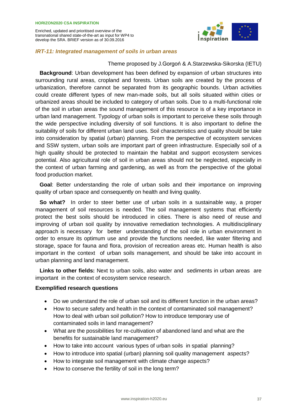

#### *IRT-11: Integrated management of soils in urban areas*

#### Theme proposed by J.Gorgoń & A.Starzewska-Sikorska (IETU)

**Background**: Urban development has been defined by expansion of urban structures into surrounding rural areas, cropland and forests. Urban soils are created by the process of urbanization, therefore cannot be separated from its geographic bounds. Urban activities could create different types of new man-made soils, but all soils situated within cities or urbanized areas should be included to category of urban soils. Due to a multi-functional role of the soil in urban areas the sound management of this resource is of a key importance in urban land management. Typology of urban soils is important to perceive these soils through the wide perspective including diversity of soil functions. It is also important to define the suitability of soils for different urban land uses. Soil characteristics and quality should be take into consideration by spatial (urban) planning. From the perspective of ecosystem services and SSW system, urban soils are important part of green infrastructure. Especially soil of a high quality should be protected to maintain the habitat and support ecosystem services potential. Also agricultural role of soil in urban areas should not be neglected, especially in the context of urban farming and gardening, as well as from the perspective of the global food production market.

**Goal**: Better understanding the role of urban soils and their importance on improving quality of urban space and consequently on health and living quality.

**So what?** In order to steer better use of urban soils in a sustainable way, a proper management of soil resources is needed. The soil management systems that efficiently protect the best soils should be introduced in cities. There is also need of reuse and improving of urban soil quality by innovative remediation technologies. A multidisciplinary approach is necessary for better understanding of the soil role in urban environment in order to ensure its optimum use and provide the functions needed, like water filtering and storage, space for fauna and flora, provision of recreation areas etc. Human health is also important in the context of urban soils management, and should be take into account in urban planning and land management.

**Links to other fields:** Next to urban soils, also water and sediments in urban areas are important in the context of ecosystem service research.

- Do we understand the role of urban soil and its different function in the urban areas?
- How to secure safety and health in the context of contaminated soil management? How to deal with urban soil pollution? How to introduce temporary use of contaminated soils in land management?
- What are the possibilities for re-cultivation of abandoned land and what are the benefits for sustainable land management?
- How to take into account various types of urban soils in spatial planning?
- How to introduce into spatial (urban) planning soil quality management aspects?
- How to integrate soil management with climate change aspects?
- How to conserve the fertility of soil in the long term?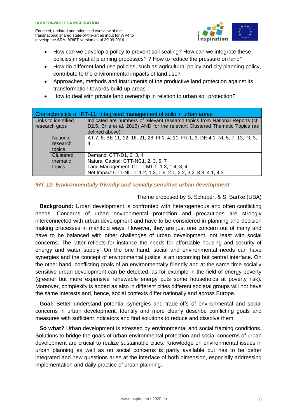

- How can we develop a policy to prevent soil sealing? How can we integrate these policies in spatial planning processes? ? How to reduce the pressure on land?
- How do different land use policies, such as agricultural policy and city planning policy, contribute to the environmental impacts of land use?
- Approaches, methods and instruments of the productive land protection against its transformation towards build-up areas.
- How to deal with private land ownership in relation to urban soil protection?

| Characteristics of IRT-11: Integrated management of soils in urban areas |                 |                                                                                                                                                             |
|--------------------------------------------------------------------------|-----------------|-------------------------------------------------------------------------------------------------------------------------------------------------------------|
| Links to identified                                                      |                 | Indicated are numbers of relevant research topics from National Reports (cf.<br>D2.5, Brils et al. 2016) AND for the relevant Clustered Thematic Topics (as |
| research gaps                                                            |                 | defined above):                                                                                                                                             |
|                                                                          | <b>National</b> | AT 7, 8; BE 11, 12, 16, 21, 28; FI 1, 4, 11; FR 1, 3; DE 4.1; NL 5, 7, 13; PL 3,                                                                            |
|                                                                          | research        | 4                                                                                                                                                           |
|                                                                          | topics          |                                                                                                                                                             |
|                                                                          | Clustered       | Demand: CTT-D1, 2, 3, 4                                                                                                                                     |
|                                                                          | thematic        | Natural Capital: CTT-NC1, 2, 3, 5, 7                                                                                                                        |
|                                                                          | topics          | Land Management: CTT-LM1.1, 1.3, 1.4, 3, 4                                                                                                                  |
|                                                                          |                 | Net Impact CTT-NI1.1, 1.2, 1.3, 1.6, 2.1, 2.2, 3.2, 3.3, 4.1, 4.3                                                                                           |

#### *IRT-12: Environmentally friendly and socially sensitive urban development*

#### Theme proposed by S. Schubert & S. Bartke (UBA)

**Background:** Urban development is confronted with heterogeneous and often conflicting needs. Concerns of urban environmental protection and precautions are strongly interconnected with urban development and have to be considered in planning and decision making processes in manifold ways. However, they are just one concern out of many and have to be balanced with other challenges of urban development, not least with social concerns. The latter reflects for instance the needs for affordable housing and security of energy and water supply. On the one hand, social and environmental needs can have synergies and the concept of environmental justice is an upcoming but central interface. On the other hand, conflicting goals of an environmentally friendly and at the same time socially sensitive urban development can be detected, as for example in the field of energy poverty (greener but more expensive renewable energy puts some households at poverty risk). Moreover, complexity is added as also in different cities different societal groups will not have the same interests and, hence, social contexts differ nationally and across Europe.

**Goal:** Better understand potential synergies and trade-offs of environmental and social concerns in urban development. Identify and more clearly describe conflicting goals and measures with sufficient indicators and find solutions to reduce and dissolve them.

**So what?** Urban development is stressed by environmental and social framing conditions. Solutions to bridge the goals of urban environmental protection and social concerns of urban development are crucial to realize sustainable cities. Knowledge on environmental issues in urban planning as well as on social concerns is partly available but has to be better integrated and new questions arise at the interface of both dimension, especially addressing implementation and daily practice of urban planning.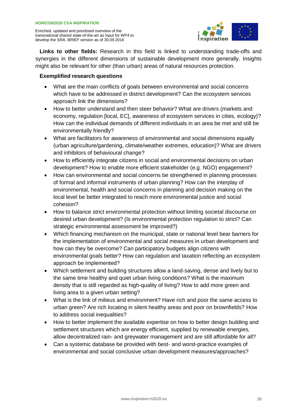

**Links to other fields:** Research in this field is linked to understanding trade-offs and synergies in the different dimensions of sustainable development more generally. Insights might also be relevant for other (than urban) areas of natural resources protection.

- What are the main conflicts of goals between environmental and social concerns which have to be addressed in district development? Can the ecosystem services approach link the dimensions?
- How to better understand and then steer behavior? What are drivers (markets and economy, regulation [local, EC], awareness of ecosystem services in cities, ecology)? How can the individual demands of different individuals in an area be met and still be environmentally friendly?
- What are facilitators for awareness of environmental and social dimensions equally (urban agriculture/gardening, climate/weather extremes, education)? What are drivers and inhibitors of behavioural change?
- How to efficiently integrate citizens in social and environmental decisions on urban development? How to enable more efficient stakeholder (e.g. NGO) engagement?
- How can environmental and social concerns be strengthened in planning processes of formal and informal instruments of urban planning? How can the interplay of environmental, health and social concerns in planning and decision making on the local level be better integrated to reach more environmental justice and social cohesion?
- How to balance strict environmental protection without limiting societal discourse on desired urban development? (Is environmental protection regulation to strict? Can strategic environmental assessment be improved?)
- Which financing mechanism on the municipal, state or national level bear barriers for the implementation of environmental and social measures in urban development and how can they be overcome? Can participatory budgets align citizens with environmental goals better? How can regulation and taxation reflecting an ecosystem approach be implemented?
- Which settlement and building structures allow a land-saving, dense and lively but to the same time healthy and quiet urban living conditions? What is the maximum density that is still regarded as high-quality of living? How to add more green and living area to a given urban setting?
- What is the link of milieus and environment? Have rich and poor the same access to urban green? Are rich locating in silent healthy areas and poor on brownfields? How to address social inequalities?
- How to better implement the available expertise on how to better design building and settlement structures which are energy efficient, supplied by renewable energies, allow decentralized rain- and greywater management and are still affordable for all?
- Can a systemic database be provided with best- and worst-practice examples of environmental and social conclusive urban development measures/approaches?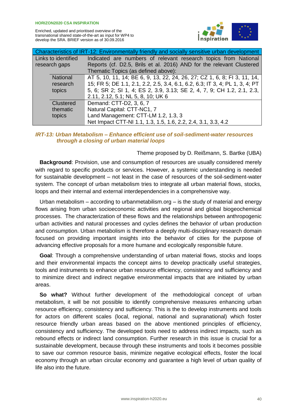

| Characteristics of IRT-12: Environmentally friendly and socially sensitive urban development |                     |                                                                              |
|----------------------------------------------------------------------------------------------|---------------------|------------------------------------------------------------------------------|
|                                                                                              | Links to identified | Indicated are numbers of relevant research topics from National              |
|                                                                                              | research gaps       | Reports (cf. D2.5, Brils et al. 2016) AND for the relevant Clustered         |
|                                                                                              |                     | Thematic Topics (as defined above):                                          |
|                                                                                              | National            | AT 5, 10, 11, 14; BE 6, 9, 13, 22, 24, 26, 27; CZ 1, 6, 8; FI 3, 11, 14,     |
|                                                                                              | research            | 15; FR 5; DE 1.1, 2.1, 2.2, 2.5, 3.4, 6.1, 6.2, 6.3; IT 3, 4; PL 1, 3, 4; PT |
|                                                                                              | topics              | 5, 6; SR 2; SI 1, 4; ES 2, 3.9, 3.13; SE 2, 4, 7, 9; CH 1.2, 2.1, 2.3,       |
|                                                                                              |                     | 2.11, 2.12, 5.1; NL 5, 8, 10; UK 6                                           |
|                                                                                              | Clustered           | Demand: CTT-D2, 3, 6, 7                                                      |
|                                                                                              | thematic            | Natural Capital: CTT-NC1, 7                                                  |
|                                                                                              | topics              | Land Management: CTT-LM 1.2, 1.3, 3                                          |
|                                                                                              |                     | Net Impact CTT-NI 1.1, 1.3, 1.5, 1.6, 2.2, 2.4, 3.1, 3.3, 4.2                |

#### *IRT-13: Urban Metabolism – Enhance efficient use of soil-sediment-water resources through a closing of urban material loops*

#### Theme proposed by D. Reißmann, S. Bartke (UBA)

**Background**: Provision, use and consumption of resources are usually considered merely with regard to specific products or services. However, a systemic understanding is needed for sustainable development – not least in the case of resources of the soil-sediment-water system. The concept of urban metabolism tries to integrate all urban material flows, stocks, loops and their internal and external interdependencies in a comprehensive way.

Urban metabolism  $-$  according to urbanmetabilism.org  $-$  is the study of material and energy flows arising from urban socioeconomic activities and regional and global biogeochemical processes. The characterization of these flows and the relationships between anthropogenic urban activities and natural processes and cycles defines the behavior of urban production and consumption. Urban metabolism is therefore a deeply multi-disciplinary research domain focused on providing important insights into the behavior of cities for the purpose of advancing effective proposals for a more humane and ecologically responsible future.

**Goal**: Through a comprehensive understanding of urban material flows, stocks and loops and their environmental impacts the concept aims to develop practically useful strategies, tools and instruments to enhance urban resource efficiency, consistency and sufficiency and to minimize direct and indirect negative environmental impacts that are initiated by urban areas.

**So what?** Without further development of the methodological concept of urban metabolism, it will be not possible to identify comprehensive measures enhancing urban resource efficiency, consistency and sufficiency. This is the to develop instruments and tools for actors on different scales (local, regional, national and supranational) which foster resource friendly urban areas based on the above mentioned principles of efficiency, consistency and sufficiency. The developed tools need to address indirect impacts, such as rebound effects or indirect land consumption. Further research in this issue is crucial for a sustainable development, because through these instruments and tools it becomes possible to save our common resource basis, minimize negative ecological effects, foster the local economy through an urban circular economy and guarantee a high level of urban quality of life also into the future.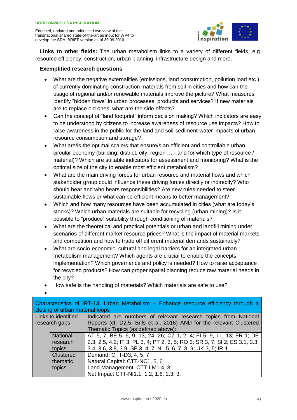

**Links to other fields:** The urban metabolism links to a variety of different fields, e.g. resource efficiency, construction, urban planning, infrastructure design and more.

- What are the negative externalities (emissions, land consumption, pollution load etc.) of currently dominating construction materials from soil in cities and how can the usage of regional and/or renewable materials improve the picture? What measures identify "hidden flows" in urban processes, products and services? If new materials are to replace old ones, what are the side effects?
- Can the concept of "land footprint" inform decision making? Which indicators are easy to be understood by citizens to increase awareness of resource use impacts? How to raise awareness in the public for the land and soil-sediment-water impacts of urban resource consumption and storage?
- What are/is the optimal scale/s that ensure/s an efficient and controllable urban circular economy (building, district, city, region … - and for which type of resource / material)? Which are suitable indicators for assessment and monitoring? What is the optimal size of the city to enable most efficient metabolism?
- What are the main driving forces for urban resource and material flows and which stakeholder group could influence these driving forces directly or indirectly? Who should bear and who bears responsibilities? Are new rules needed to steer sustainable flows or what can be efficient means to better management?
- Which and how many resources have been accumulated in cities (what are today's stocks)? Which urban materials are suitable for recycling (urban mining)? Is it possible to "produce" suitability through conditioning of materials?
- What are the theoretical and practical potentials or urban and landfill mining under scenarios of different market resource prices? What is the impact of material markets and competition and how to trade off different material demands sustainably?
- What are socio-economic, cultural and legal barriers for an integrated urban metabolism management? Which agents are crucial to enable the concepts implementation? Which governance and policy is needed? How to raise acceptance for recycled products? How can proper spatial planning reduce raw material needs in the city?
- How safe is the handling of materials? Which materials are safe to use?

|   | í<br>¢<br>۰. |  |
|---|--------------|--|
| × | ۰,           |  |

| Characteristics of IRT-13: Urban Metabolism - Enhance resource efficiency through a<br>closing of urban material loops |                                                                             |  |
|------------------------------------------------------------------------------------------------------------------------|-----------------------------------------------------------------------------|--|
| Links to identified                                                                                                    | Indicated are numbers of relevant research topics from National             |  |
| research gaps                                                                                                          | Reports (cf. D2.5, Brils et al. 2016) AND for the relevant Clustered        |  |
|                                                                                                                        | Thematic Topics (as defined above):                                         |  |
| <b>National</b>                                                                                                        | AT 5, 7; BE 5, 6, 9, 13, 24, 26; CZ 1, 2, 4; FI 5, 9, 11, 13; FR 1; DE      |  |
| research                                                                                                               | 2.3, 2.5, 4.2; IT 3; PL 3, 4; PT 2, 3, 5; RO 3; SR 3, 7; SI 2; ES 3.1, 3.3, |  |
| topics                                                                                                                 | 3.4, 3.6, 3.8, 3.9; SE 3, 4, 7; NL 5, 6, 7, 8, 9; UK 3, 5; IR 1             |  |
| Clustered                                                                                                              | Demand: CTT-D3, 4, 5, 7                                                     |  |
| thematic                                                                                                               | Natural Capital: CTT-NC1, 3, 6                                              |  |
| topics                                                                                                                 | Land Management: CTT-LM1.4, 3                                               |  |
|                                                                                                                        | Net Impact CTT-NI1.1, 1.2, 1.6, 2.3, 3.                                     |  |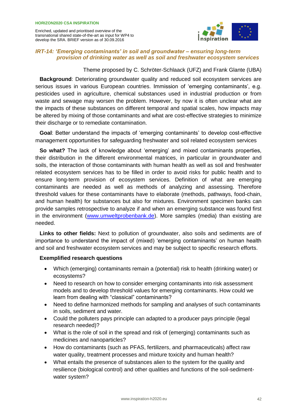

#### *IRT-14: 'Emerging contaminants' in soil and groundwater – ensuring long-term provision of drinking water as well as soil and freshwater ecosystem services*

Theme proposed by C. Schröter-Schlaack (UFZ) and Frank Glante (UBA)

**Background:** Deteriorating groundwater quality and reduced soil ecosystem services are serious issues in various European countries. Immission of 'emerging contaminants', e.g. pesticides used in agriculture, chemical substances used in industrial production or from waste and sewage may worsen the problem. However, by now it is often unclear what are the impacts of these substances on different temporal and spatial scales, how impacts may be altered by mixing of those contaminants and what are cost-effective strategies to minimize their discharge or to remediate contamination.

**Goal**: Better understand the impacts of 'emerging contaminants' to develop cost-effective management opportunities for safeguarding freshwater and soil related ecosystem services

**So what?** The lack of knowledge about 'emerging' and mixed contaminants properties, their distribution in the different environmental matrices, in particular in groundwater and soils, the interaction of those contaminants with human health as well as soil and freshwater related ecosystem services has to be filled in order to avoid risks for public health and to ensure long-term provision of ecosystem services. Definition of what are emerging contaminants are needed as well as methods of analyzing and assessing. Therefore threshold values for these contaminants have to elaborate (methods, pathways, food-chain, and human health) for substances but also for mixtures. Environment specimen banks can provide samples retrospective to analyze if and when an emerging substance was found first in the environment [\(www.umweltprobenbank.de\)](http://www.umweltprobenbank.de/). More samples (media) than existing are needed.

**Links to other fields:** Next to pollution of groundwater, also soils and sediments are of importance to understand the impact of (mixed) 'emerging contaminants' on human health and soil and freshwater ecosystem services and may be subject to specific research efforts.

- Which (emerging) contaminants remain a (potential) risk to health (drinking water) or ecosystems?
- Need to research on how to consider emerging contaminants into risk assessment models and to develop threshold values for emerging contaminants. How could we learn from dealing with "classical" contaminants?
- Need to define harmonized methods for sampling and analyses of such contaminants in soils, sediment and water.
- Could the polluters pays principle can adapted to a producer pays principle (legal research needed)?
- What is the role of soil in the spread and risk of (emerging) contaminants such as medicines and nanoparticles?
- How do contaminants (such as PFAS, fertilizers, and pharmaceuticals) affect raw water quality, treatment processes and mixture toxicity and human health?
- What entails the presence of substances alien to the system for the quality and resilience (biological control) and other qualities and functions of the soil-sedimentwater system?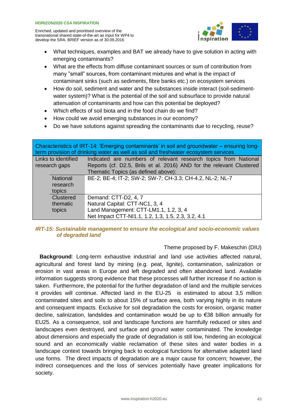

- What techniques, examples and BAT we already have to give solution in acting with emerging contaminants?
- What are the effects from diffuse contaminant sources or sum of contribution from many "small" sources, from contaminant mixtures and what is the impact of contaminant sinks (such as sediments, fibre banks etc.) on ecosystem services
- How do soil, sediment and water and the substances inside interact (soil-sedimentwater system)? What is the potential of the soil and subsurface to provide natural attenuation of contaminants and how can this potential be deployed?
- Which effects of soil biota and in the food chain do we find?
- How could we avoid emerging substances in our economy?
- Do we have solutions against spreading the contaminants due to recycling, reuse?

| Characteristics of IRT-14: 'Emerging contaminants' in soil and groundwater – ensuring long-<br>term provision of drinking water as well as soil and freshwater ecosystem services |                                                                      |  |
|-----------------------------------------------------------------------------------------------------------------------------------------------------------------------------------|----------------------------------------------------------------------|--|
| Links to identified                                                                                                                                                               | Indicated are numbers of relevant research topics from National      |  |
| research gaps                                                                                                                                                                     | Reports (cf. D2.5, Brils et al. 2016) AND for the relevant Clustered |  |
|                                                                                                                                                                                   | Thematic Topics (as defined above):                                  |  |
| <b>National</b>                                                                                                                                                                   | BE-2; BE-4; IT-2; SW-2; SW-7; CH-3.3; CH-4.2, NL-2; NL-7             |  |
| research                                                                                                                                                                          |                                                                      |  |
| topics                                                                                                                                                                            |                                                                      |  |
| <b>Clustered</b>                                                                                                                                                                  | Demand: CTT-D2, 4, 7                                                 |  |
| thematic                                                                                                                                                                          | Natural Capital: CTT-NC1, 3, 4                                       |  |
| topics                                                                                                                                                                            | Land Management: CTT-LM1.1, 1.2, 3, 4                                |  |
|                                                                                                                                                                                   | Net Impact CTT-NI1.1, 1.2, 1.3, 1.5, 2.3, 3.2, 4.1                   |  |

#### *IRT-15: Sustainable management to ensure the ecological and socio-economic values of degraded land*

#### Theme proposed by F. Makeschin (DIU)

**Background**: Long-term exhaustive industrial and land use activities affected natural, agricultural and forest land by mining (e.g. peat, lignite), contamination, salinization or erosion in vast areas in Europe and left degraded and often abandoned land. Available information suggests strong evidence that these processes will further increase if no action is taken. Furthermore, the potential for the further degradation of land and the multiple services it provides will continue. Affected land in the EU-25 is estimated to about 3,5 million contaminated sites and soils to about 15% of surface area, both varying highly in its nature and consequent impacts. Exclusive for soil degradation the costs for erosion, organic matter decline, salinization, landslides and contamination would be up to €38 billion annually for EU25. As a consequence, soil and landscape functions are harmfully reduced or sites and landscapes even destroyed, and surface and ground water contaminated. The knowledge about dimensions and especially the grade of degradation is still low, hindering an ecological sound and an economically viable reclamation of these sites and water bodies in a landscape context towards bringing back to ecological functions for alternative adapted land use forms. The direct impacts of degradation are a major cause for concern; however, the indirect consequences and the loss of services potentially have greater implications for society.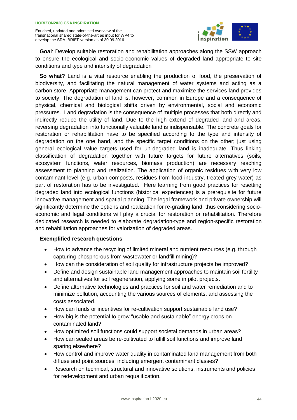

**Goal**: Develop suitable restoration and rehabilitation approaches along the SSW approach to ensure the ecological and socio-economic values of degraded land appropriate to site conditions and type and intensity of degradation

**So what?** Land is a vital resource enabling the production of food, the preservation of biodiversity, and facilitating the natural management of water systems and acting as a carbon store. Appropriate management can protect and maximize the services land provides to society. The degradation of land is, however, common in Europe and a consequence of physical, chemical and biological shifts driven by environmental, social and economic pressures. Land degradation is the consequence of multiple processes that both directly and indirectly reduce the utility of land. Due to the high extend of degraded land and areas, reversing degradation into functionally valuable land is indispensable. The concrete goals for restoration or rehabilitation have to be specified according to the type and intensity of degradation on the one hand, and the specific target conditions on the other; just using general ecological value targets used for un-degraded land is inadequate. Thus linking classification of degradation together with future targets for future alternatives (soils, ecosystem functions, water resources, biomass production) are necessary reaching assessment to planning and realization. The application of organic residues with very low contaminant level (e.g. urban composts, residues from food industry, treated grey water) as part of restoration has to be investigated. Here learning from good practices for resetting degraded land into ecological functions (historical experiences) is a prerequisite for future innovative management and spatial planning. The legal framework and private ownership will significantly determine the options and realization for re-grading land; thus considering socioeconomic and legal conditions will play a crucial for restoration or rehabilitation. Therefore dedicated research is needed to elaborate degradation-type and region-specific restoration and rehabilitation approaches for valorization of degraded areas.

- How to advance the recycling of limited mineral and nutrient resources (e.g. through capturing phosphorous from wastewater or landfill mining)?
- How can the consideration of soil quality for infrastructure projects be improved?
- Define and design sustainable land management approaches to maintain soil fertility and alternatives for soil regeneration, applying some in pilot projects.
- Define alternative technologies and practices for soil and water remediation and to minimize pollution, accounting the various sources of elements, and assessing the costs associated.
- How can funds or incentives for re-cultivation support sustainable land use?
- How big is the potential to grow "usable and sustainable" energy crops on contaminated land?
- How optimized soil functions could support societal demands in urban areas?
- How can sealed areas be re-cultivated to fulfill soil functions and improve land sparing elsewhere?
- How control and improve water quality in contaminated land management from both diffuse and point sources, including emergent contaminant classes?
- Research on technical, structural and innovative solutions, instruments and policies for redevelopment and urban requalification.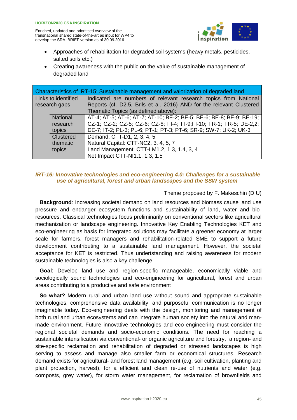

- Approaches of rehabilitation for degraded soil systems (heavy metals, pesticides, salted soils etc.)
- Creating awareness with the public on the value of sustainable management of degraded land

| Characteristics of IRT-15: Sustainable management and valorization of degraded land |                  |                                                                      |
|-------------------------------------------------------------------------------------|------------------|----------------------------------------------------------------------|
| Links to identified                                                                 |                  | Indicated are numbers of relevant research topics from National      |
| research gaps                                                                       |                  | Reports (cf. D2.5, Brils et al. 2016) AND for the relevant Clustered |
|                                                                                     |                  | Thematic Topics (as defined above):                                  |
|                                                                                     | <b>National</b>  | AT-4; AT-5; AT-6; AT-7; AT-10; BE-2; BE-5; BE-6; BE-8; BE-9; BE-19;  |
|                                                                                     | research         | CZ-1; CZ-2; CZ-5; CZ-6; CZ-8; FI-4; FI-9;FI-10; FR-1; FR-5; DE-2,2;  |
|                                                                                     | topics           | DE-7; IT-2; PL-3; PL-6; PT-1; PT-3; PT-6; SR-9; SW-7; UK-2; UK-3     |
|                                                                                     | <b>Clustered</b> | Demand: CTT-D1, 2, 3, 4, 5                                           |
|                                                                                     | thematic         | Natural Capital: CTT-NC2, 3, 4, 5, 7                                 |
|                                                                                     | topics           | Land Management: CTT-LM1.2, 1.3, 1.4, 3, 4                           |
|                                                                                     |                  | Net Impact CTT-NI1.1, 1.3, 1.5                                       |

#### *IRT-16: Innovative technologies and eco-engineering 4.0: Challenges for a sustainable use of agricultural, forest and urban landscapes and the SSW system*

#### Theme proposed by F. Makeschin (DIU)

**Background**: Increasing societal demand on land resources and biomass cause land use pressure and endanger ecosystem functions and sustainability of land, water and bioresources. Classical technologies focus preliminarily on conventional sectors like agricultural mechanization or landscape engineering. Innovative Key Enabling Technologies KET and eco-engineering as basis for integrated solutions may facilitate a greener economy at larger scale for farmers, forest managers and rehabilitation-related SME to support a future development contributing to a sustainable land management. However, the societal acceptance for KET is restricted. Thus undertstanding and raising awareness for modern sustainable technologies is also a key challenge.

**Goal**: Develop land use and region-specific manageable, economically viable and sociologically sound technologies and eco-engineering for agricultural, forest and urban areas contributing to a productive and safe environment

**So what?** Modern rural and urban land use without sound and appropriate sustainable technologies, comprehensive data availability, and purposeful communication is no longer imaginable today. Eco-engineering deals with the design, monitoring and management of both rural and urban ecosystems and can integrate human society into the natural and manmade environment. Future innovative technologies and eco-engineering must consider the regional societal demands and socio-economic conditions. The need for reaching a sustainable intensification via conventional- or organic agriculture and forestry, a region- and site-specific reclamation and rehabilitation of degraded or stressed landscapes is high serving to assess and manage also smaller farm or economical structures. Research demand exists for agricultural- and forest land management (e.g. soil cultivation, planting and plant protection, harvest), for a efficient and clean re-use of nutrients and water (e.g. composts, grey water), for storm water management, for reclamation of brownfields and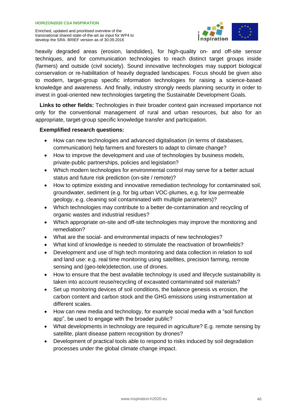

heavily degraded areas (erosion, landslides), for high-quality on- and off-site sensor techniques, and for communication technologies to reach distinct target groups inside (farmers) and outside (civil society). Sound innovative technologies may support biological conservation or re-habilitation of heavily degraded landscapes. Focus should be given also to modern, target-group specific information technologies for raising a science-based knowledge and awareness. And finally, industry strongly needs planning security in order to invest in goal-oriented new technologies targeting the Sustainable Development Goals.

**Links to other fields:** Technologies in their broader context gain increased importance not only for the conventional management of rural and urban resources, but also for an appropriate, target-group specific knowledge transfer and participation.

- How can new technologies and advanced digitalisation (in terms of databases, communication) help farmers and foresters to adapt to climate change?
- How to improve the development and use of technologies by business models, private-public partnerships, policies and legislation?
- Which modern technologies for environmental control may serve for a better actual status and future risk prediction (on-site / remote)?
- How to optimize existing and innovative remediation technology for contaminated soil. groundwater, sediment (e.g. for big urban VOC-plumes, e.g. for low permeable geology, e.g. cleaning soil contaminated with multiple parameters)?
- Which technologies may contribute to a better de-contamination and recycling of organic wastes and industrial residues?
- Which appropriate on-site and off-site technologies may improve the monitoring and remediation?
- What are the social- and environmental impacts of new technologies?
- What kind of knowledge is needed to stimulate the reactivation of brownfields?
- Development and use of high tech monitoring and data collection in relation to soil and land use: e.g. real time monitoring using satellites, precision farming, remote sensing and (geo-tele)detection, use of drones.
- How to ensure that the best available technology is used and lifecycle sustainability is taken into account reuse/recycling of excavated contaminated soil materials?
- Set up monitoring devices of soil conditions, the balance genesis vs erosion, the carbon content and carbon stock and the GHG emissions using instrumentation at different scales.
- How can new media and technology, for example social media with a "soil function" app", be used to engage with the broader public?
- What developments in technology are required in agriculture? E.g. remote sensing by satellite, plant disease pattern recognition by drones?
- Development of practical tools able to respond to risks induced by soil degradation processes under the global climate change impact.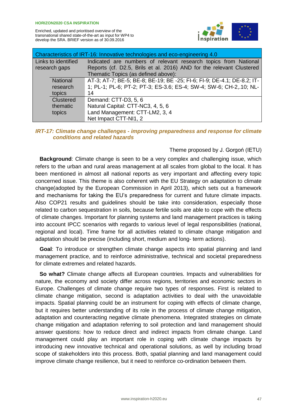

| Characteristics of IRT-16: Innovative technologies and eco-engineering 4.0 |                     |                                                                        |
|----------------------------------------------------------------------------|---------------------|------------------------------------------------------------------------|
|                                                                            | Links to identified | Indicated are numbers of relevant research topics from National        |
| research gaps                                                              |                     | Reports (cf. D2.5, Brils et al. 2016) AND for the relevant Clustered   |
|                                                                            |                     | Thematic Topics (as defined above):                                    |
|                                                                            | <b>National</b>     | AT-3; AT-7; BE-5; BE-8; BE-19; BE -25; FI-6; FI-9; DE-4.1; DE-8.2; IT- |
|                                                                            | research            | 1; PL-1; PL-6; PT-2; PT-3; ES-3.6; ES-4; SW-4; SW-6; CH-2, 10; NL-     |
|                                                                            | topics              | 14                                                                     |
|                                                                            | Clustered           | Demand: CTT-D3, 5, 6                                                   |
|                                                                            | thematic            | Natural Capital: CTT-NC3, 4, 5, 6                                      |
|                                                                            | topics              | Land Management: CTT-LM2, 3, 4                                         |
|                                                                            |                     | Net Impact CTT-NI1, 2                                                  |

#### *IRT-17: Climate change challenges - improving preparedness and response for climate conditions and related hazards*

#### Theme proposed by J. Gorgoń (IETU)

**Background**: Climate change is seen to be a very complex and challenging issue, which refers to the urban and rural areas management at all scales from global to the local. It has been mentioned in almost all national reports as very important and affecting every topic concerned issue. This theme is also coherent with the EU Strategy on adaptation to climate change(adopted by the European Commission in April 2013), which sets out a framework and mechanisms for taking the EU's preparedness for current and future climate impacts. Also COP21 results and guidelines should be take into consideration, especially those related to carbon sequestration in soils, because fertile soils are able to cope with the effects of climate changes. Important for planning systems and land management practices is taking into account IPCC scenarios with regards to various level of legal responsibilities (national, regional and local). Time frame for all activities related to climate change mitigation and adaptation should be precise (including short, medium and long- term actions).

Goal: To introduce or strengthen climate change aspects into spatial planning and land management practice, and to reinforce administrative, technical and societal preparedness for climate extremes and related hazards.

**So what?** Climate change affects all European countries. Impacts and vulnerabilities for nature, the economy and society differ across regions, territories and economic sectors in Europe. Challenges of climate change require two types of responses. First is related to climate change mitigation, second is adaptation activities to deal with the unavoidable impacts. Spatial planning could be an instrument for coping with effects of climate change, but it requires better understanding of its role in the process of climate change mitigation, adaptation and counteracting negative climate phenomena. Integrated strategies on climate change mitigation and adaptation referring to soil protection and land management should answer questions: how to reduce direct and indirect impacts from climate change. Land management could play an important role in coping with climate change impacts by introducing new innovative technical and operational solutions, as well by including broad scope of stakeholders into this process. Both, spatial planning and land management could improve climate change resilience, but it need to reinforce co-ordination between them.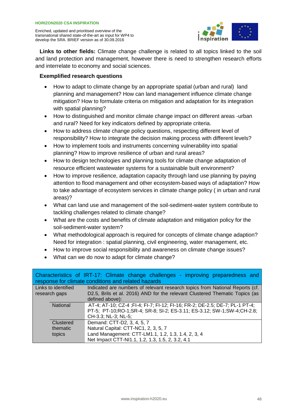

**Links to other fields:** Climate change challenge is related to all topics linked to the soil and land protection and management, however there is need to strengthen research efforts and interrelate to economy and social sciences.

- How to adapt to climate change by an appropriate spatial (urban and rural) land planning and management? How can land management influence climate change mitigation? How to formulate criteria on mitigation and adaptation for its integration with spatial planning?
- How to distinguished and monitor climate change impact on different areas -urban and rural? Need for key indicators defined by appropriate criteria.
- How to address climate change policy questions, respecting different level of responsibility? How to integrate the decision making process with different levels?
- How to implement tools and instruments concerning vulnerability into spatial planning? How to improve resilience of urban and rural areas?
- How to design technologies and planning tools for climate change adaptation of resource efficient wastewater systems for a sustainable built environment?
- How to improve resilience, adaptation capacity through land use planning by paying attention to flood management and other ecosystem-based ways of adaptation? How to take advantage of ecosystem services in climate change policy ( in urban and rural areas)?
- What can land use and management of the soil-sediment-water system contribute to tackling challenges related to climate change?
- What are the costs and benefits of climate adaptation and mitigation policy for the soil-sediment-water system?
- What methodological approach is required for concepts of climate change adaption? Need for integration : spatial planning, civil engineering, water management, etc.
- How to improve social responsibility and awareness on climate change issues?
- What can we do now to adapt for climate change?

|                     | Characteristics of IRT-17: Climate change challenges - improving preparedness and<br>response for climate conditions and related hazards |
|---------------------|------------------------------------------------------------------------------------------------------------------------------------------|
| Links to identified | Indicated are numbers of relevant research topics from National Reports (cf.                                                             |
| research gaps       | D2.5, Brils et al. 2016) AND for the relevant Clustered Thematic Topics (as                                                              |
|                     | defined above):                                                                                                                          |
| <b>National</b>     | AT-4; AT-10; CZ-4; FI-4; FI-7; FI-12; FI-16; FR-2; DE-2.5; DE-7; PL-1 PT-4;                                                              |
|                     | PT-5; PT-10;RO-1;SR-4; SR-8; SI-2; ES-3.11; ES-3.12; SW-1;SW-4;CH-2.8;                                                                   |
|                     | CH-3.3; NL-3; NL-5;                                                                                                                      |
| Clustered           | Demand: CTT-D2, 3, 4, 5, 7                                                                                                               |
| thematic            | Natural Capital: CTT-NC1, 2, 3, 5, 7                                                                                                     |
| topics              | Land Management: CTT-LM1.1, 1.2, 1.3, 1.4, 2, 3, 4                                                                                       |
|                     | Net Impact CTT-NI1.1, 1.2, 1.3, 1.5, 2, 3.2, 4.1                                                                                         |